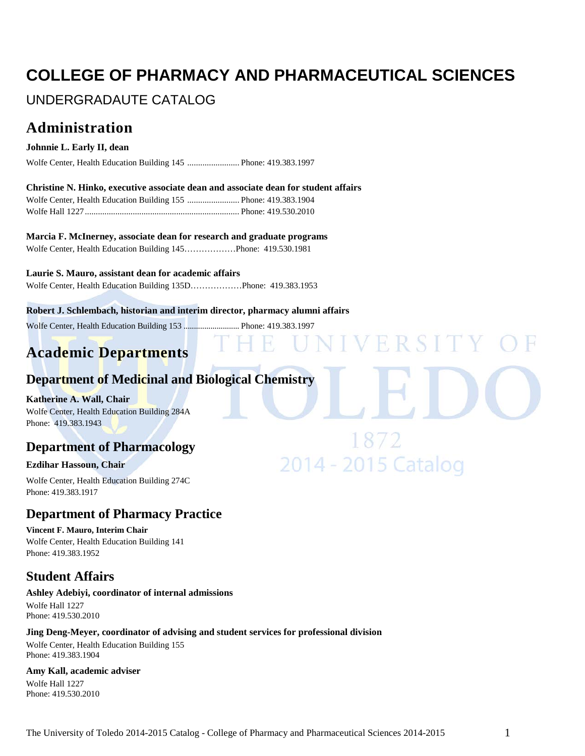# **COLLEGE OF PHARMACY AND PHARMACEUTICAL SCIENCES**

# UNDERGRADAUTE CATALOG

# **Administration**

#### **Johnnie L. Early II, dean**

Wolfe Center, Health Education Building 145 ........................ Phone: 419.383.1997

**Christine N. Hinko, executive associate dean and associate dean for student affairs** Wolfe Center, Health Education Building 155 ........................ Phone: 419.383.1904 Wolfe Hall 1227....................................................................... Phone: 419.530.2010

**Marcia F. McInerney, associate dean for research and graduate programs** Wolfe Center, Health Education Building 145………………Phone: 419.530.1981

**Laurie S. Mauro, assistant dean for academic affairs**

Wolfe Center, Health Education Building 135D………………Phone: 419.383.1953

**Robert J. Schlembach, historian and interim director, pharmacy alumni affairs**

Wolfe Center, Health Education Building 153 ........................... Phone: 419.383.1997

# **Academic Departments**

# **Department of Medicinal and Biological Chemistry**

#### **Katherine A. Wall, Chair**

Wolfe Center, Health Education Building 284A Phone: 419.383.1943

# **Department of Pharmacology**

#### **Ezdihar Hassoun, Chair**

Wolfe Center, Health Education Building 274C Phone: 419.383.1917

# **Department of Pharmacy Practice**

**Vincent F. Mauro, Interim Chair** Wolfe Center, Health Education Building 141 Phone: 419.383.1952

# **Student Affairs**

**Ashley Adebiyi, coordinator of internal admissions** Wolfe Hall 1227 Phone: 419.530.2010

#### **Jing Deng-Meyer, coordinator of advising and student services for professional division**

Wolfe Center, Health Education Building 155 Phone: 419.383.1904

#### **Amy Kall, academic adviser**

Wolfe Hall 1227 Phone: 419.530.2010 FRSI

2014 - 2015 Catalog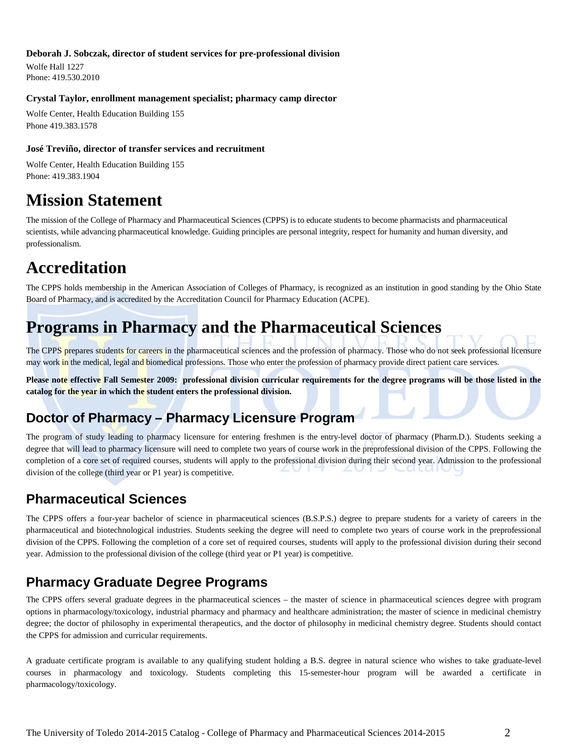#### **Deborah J. Sobczak, director of student services for pre-professional division**

Wolfe Hall 1227 Phone: 419.530.2010

#### **Crystal Taylor, enrollment management specialist; pharmacy camp director**

Wolfe Center, Health Education Building 155 Phone 419.383.1578

#### **José Treviño, director of transfer services and recruitment**

Wolfe Center, Health Education Building 155 Phone: 419.383.1904

# **Mission Statement**

The mission of the College of Pharmacy and Pharmaceutical Sciences (CPPS) is to educate students to become pharmacists and pharmaceutical scientists, while advancing pharmaceutical knowledge. Guiding principles are personal integrity, respect for humanity and human diversity, and professionalism.

# **Accreditation**

The CPPS holds membership in the American Association of Colleges of Pharmacy, is recognized as an institution in good standing by the Ohio State Board of Pharmacy, and is accredited by the Accreditation Council for Pharmacy Education (ACPE).

# **Programs in Pharmacy and the Pharmaceutical Sciences**

The CPPS prepares students for careers in the pharmaceutical sciences and the profession of pharmacy. Those who do not seek professional licensure may work in the medical, legal and biomedical professions. Those who enter the profession of pharmacy provide direct patient care services.

**Please note effective Fall Semester 2009: professional division curricular requirements for the degree programs will be those listed in the catalog for the year in which the student enters the professional division.**

# **Doctor of Pharmacy – Pharmacy Licensure Program**

The program of study leading to pharmacy licensure for entering freshmen is the entry-level doctor of pharmacy (Pharm.D.). Students seeking a degree that will lead to pharmacy licensure will need to complete two years of course work in the preprofessional division of the CPPS. Following the completion of a core set of required courses, students will apply to the professional division during their second year. Admission to the professional division of the college (third year or P1 year) is competitive.

# **Pharmaceutical Sciences**

The CPPS offers a four-year bachelor of science in pharmaceutical sciences (B.S.P.S.) degree to prepare students for a variety of careers in the pharmaceutical and biotechnological industries. Students seeking the degree will need to complete two years of course work in the preprofessional division of the CPPS. Following the completion of a core set of required courses, students will apply to the professional division during their second year. Admission to the professional division of the college (third year or P1 year) is competitive.

# **Pharmacy Graduate Degree Programs**

The CPPS offers several graduate degrees in the pharmaceutical sciences – the master of science in pharmaceutical sciences degree with program options in pharmacology/toxicology, industrial pharmacy and pharmacy and healthcare administration; the master of science in medicinal chemistry degree; the doctor of philosophy in experimental therapeutics, and the doctor of philosophy in medicinal chemistry degree. Students should contact the CPPS for admission and curricular requirements.

A graduate certificate program is available to any qualifying student holding a B.S. degree in natural science who wishes to take graduate-level courses in pharmacology and toxicology. Students completing this 15-semester-hour program will be awarded a certificate in pharmacology/toxicology.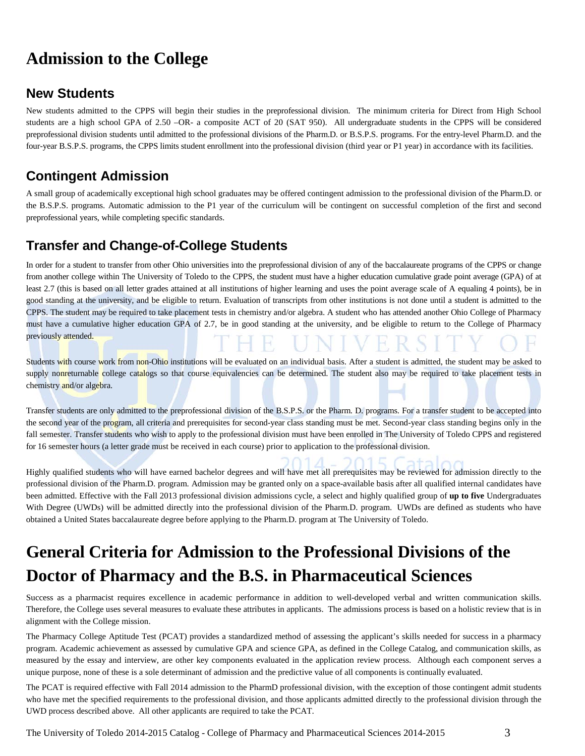# **Admission to the College**

# **New Students**

New students admitted to the CPPS will begin their studies in the preprofessional division. The minimum criteria for Direct from High School students are a high school GPA of 2.50 –OR- a composite ACT of 20 (SAT 950). All undergraduate students in the CPPS will be considered preprofessional division students until admitted to the professional divisions of the Pharm.D. or B.S.P.S. programs. For the entry-level Pharm.D. and the four-year B.S.P.S. programs, the CPPS limits student enrollment into the professional division (third year or P1 year) in accordance with its facilities.

# **Contingent Admission**

A small group of academically exceptional high school graduates may be offered contingent admission to the professional division of the Pharm.D. or the B.S.P.S. programs. Automatic admission to the P1 year of the curriculum will be contingent on successful completion of the first and second preprofessional years, while completing specific standards.

# **Transfer and Change-of-College Students**

In order for a student to transfer from other Ohio universities into the preprofessional division of any of the baccalaureate programs of the CPPS or change from another college within The University of Toledo to the CPPS, the student must have a higher education cumulative grade point average (GPA) of at least 2.7 (this is based on all letter grades attained at all institutions of higher learning and uses the point average scale of A equaling 4 points), be in good standing at the university, and be eligible to return. Evaluation of transcripts from other institutions is not done until a student is admitted to the CPPS. The student may be required to take placement tests in chemistry and/or algebra. A student who has attended another Ohio College of Pharmacy must have a cumulative higher education GPA of 2.7, be in good standing at the university, and be eligible to return to the College of Pharmacy previously attended.

Students with course work from non-Ohio institutions will be evaluated on an individual basis. After a student is admitted, the student may be asked to supply nonreturnable college catalogs so that course equivalencies can be determined. The student also may be required to take placement tests in chemistry and/or algebra.

Transfer students are only admitted to the preprofessional division of the B.S.P.S. or the Pharm. D. programs. For a transfer student to be accepted into the second year of the program, all criteria and prerequisites for second-year class standing must be met. Second-year class standing begins only in the fall semester. Transfer students who wish to apply to the professional division must have been enrolled in The University of Toledo CPPS and registered for 16 semester hours (a letter grade must be received in each course) prior to application to the professional division.

Highly qualified students who will have earned bachelor degrees and will have met all prerequisites may be reviewed for admission directly to the professional division of the Pharm.D. program. Admission may be granted only on a space-available basis after all qualified internal candidates have been admitted. Effective with the Fall 2013 professional division admissions cycle, a select and highly qualified group of **up to five** Undergraduates With Degree (UWDs) will be admitted directly into the professional division of the Pharm.D. program. UWDs are defined as students who have obtained a United States baccalaureate degree before applying to the Pharm.D. program at The University of Toledo.

# **General Criteria for Admission to the Professional Divisions of the Doctor of Pharmacy and the B.S. in Pharmaceutical Sciences**

Success as a pharmacist requires excellence in academic performance in addition to well-developed verbal and written communication skills. Therefore, the College uses several measures to evaluate these attributes in applicants. The admissions process is based on a holistic review that is in alignment with the College mission.

The Pharmacy College Aptitude Test (PCAT) provides a standardized method of assessing the applicant's skills needed for success in a pharmacy program. Academic achievement as assessed by cumulative GPA and science GPA, as defined in the College Catalog, and communication skills, as measured by the essay and interview, are other key components evaluated in the application review process. Although each component serves a unique purpose, none of these is a sole determinant of admission and the predictive value of all components is continually evaluated.

The PCAT is required effective with Fall 2014 admission to the PharmD professional division, with the exception of those contingent admit students who have met the specified requirements to the professional division, and those applicants admitted directly to the professional division through the UWD process described above. All other applicants are required to take the PCAT.

The University of Toledo 2014-2015 Catalog - College of Pharmacy and Pharmaceutical Sciences 2014-2015 3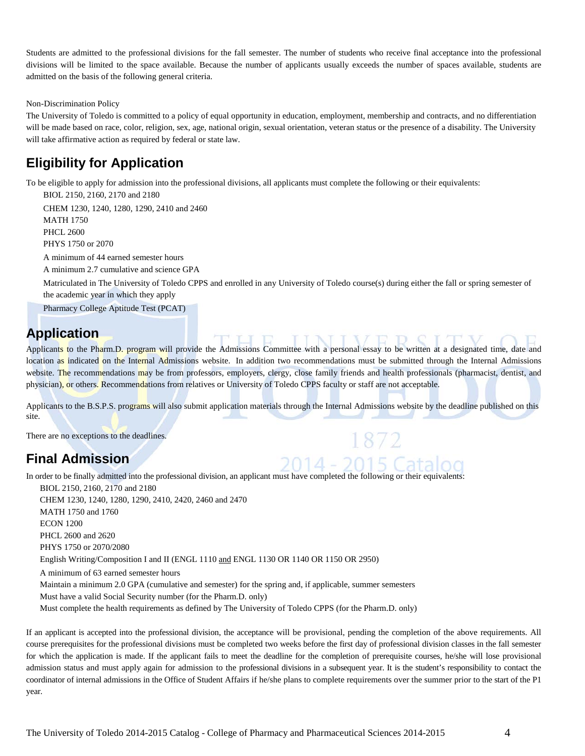Students are admitted to the professional divisions for the fall semester. The number of students who receive final acceptance into the professional divisions will be limited to the space available. Because the number of applicants usually exceeds the number of spaces available, students are admitted on the basis of the following general criteria.

#### Non-Discrimination Policy

The University of Toledo is committed to a policy of equal opportunity in education, employment, membership and contracts, and no differentiation will be made based on race, color, religion, sex, age, national origin, sexual orientation, veteran status or the presence of a disability. The University will take affirmative action as required by federal or state law.

## **Eligibility for Application**

To be eligible to apply for admission into the professional divisions, all applicants must complete the following or their equivalents:

BIOL 2150, 2160, 2170 and 2180 CHEM 1230, 1240, 1280, 1290, 2410 and 2460 MATH 1750 PHCL 2600 PHYS 1750 or 2070

A minimum of 44 earned semester hours

A minimum 2.7 cumulative and science GPA

Matriculated in The University of Toledo CPPS and enrolled in any University of Toledo course(s) during either the fall or spring semester of the academic year in which they apply

Pharmacy College Aptitude Test (PCAT)

# **Application**

Applicants to the Pharm.D. program will provide the Admissions Committee with a personal essay to be written at a designated time, date and location as indicated on the Internal Admissions website. In addition two recommendations must be submitted through the Internal Admissions website. The recommendations may be from professors, employers, clergy, close family friends and health professionals (pharmacist, dentist, and physician), or others. Recommendations from relatives or University of Toledo CPPS faculty or staff are not acceptable.

Applicants to the B.S.P.S. programs will also submit application materials through the Internal Admissions website by the deadline published on this site.

2014 - 2015 Catalog

There are no exceptions to the deadlines.

# **Final Admission**

In order to be finally admitted into the professional division, an applicant must have completed the following or their equivalents:

BIOL 2150, 2160, 2170 and 2180 CHEM 1230, 1240, 1280, 1290, 2410, 2420, 2460 and 2470 MATH 1750 and 1760 ECON 1200 PHCL 2600 and 2620 PHYS 1750 or 2070/2080 English Writing/Composition I and II (ENGL 1110 and ENGL 1130 OR 1140 OR 1150 OR 2950) A minimum of 63 earned semester hours Maintain a minimum 2.0 GPA (cumulative and semester) for the spring and, if applicable, summer semesters Must have a valid Social Security number (for the Pharm.D. only) Must complete the health requirements as defined by The University of Toledo CPPS (for the Pharm.D. only)

If an applicant is accepted into the professional division, the acceptance will be provisional, pending the completion of the above requirements. All course prerequisites for the professional divisions must be completed two weeks before the first day of professional division classes in the fall semester for which the application is made. If the applicant fails to meet the deadline for the completion of prerequisite courses, he/she will lose provisional admission status and must apply again for admission to the professional divisions in a subsequent year. It is the student's responsibility to contact the coordinator of internal admissions in the Office of Student Affairs if he/she plans to complete requirements over the summer prior to the start of the P1 year.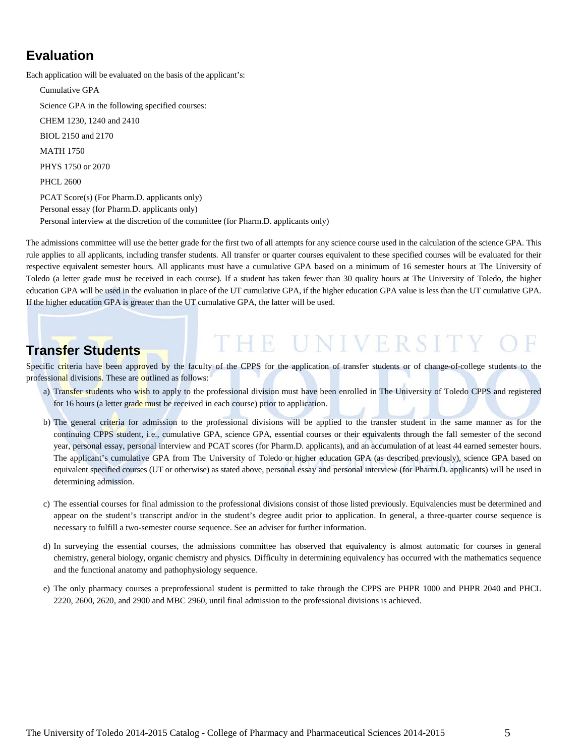# **Evaluation**

Each application will be evaluated on the basis of the applicant's:

Cumulative GPA Science GPA in the following specified courses: CHEM 1230, 1240 and 2410 BIOL 2150 and 2170 MATH 1750 PHYS 1750 or 2070 PHCL 2600 PCAT Score(s) (For Pharm.D. applicants only) Personal essay (for Pharm.D. applicants only) Personal interview at the discretion of the committee (for Pharm.D. applicants only)

The admissions committee will use the better grade for the first two of all attempts for any science course used in the calculation of the science GPA. This rule applies to all applicants, including transfer students. All transfer or quarter courses equivalent to these specified courses will be evaluated for their respective equivalent semester hours. All applicants must have a cumulative GPA based on a minimum of 16 semester hours at The University of Toledo (a letter grade must be received in each course). If a student has taken fewer than 30 quality hours at The University of Toledo, the higher education GPA will be used in the evaluation in place of the UT cumulative GPA, if the higher education GPA value is less than the UT cumulative GPA. If the higher education GPA is greater than the UT cumulative GPA, the latter will be used.

# **Transfer Students**

Specific criteria have been approved by the faculty of the CPPS for the application of transfer students or of change-of-college students to the professional divisions. These are outlined as follows:

a) Transfer students who wish to apply to the professional division must have been enrolled in The University of Toledo CPPS and registered for 16 hours (a letter grade must be received in each course) prior to application.

THE UNIVERSITY

- b) The general criteria for admission to the professional divisions will be applied to the transfer student in the same manner as for the continuing CPPS student, i.e., cumulative GPA, science GPA, essential courses or their equivalents through the fall semester of the second year, personal essay, personal interview and PCAT scores (for Pharm.D. applicants), and an accumulation of at least 44 earned semester hours. The applicant's cumulative GPA from The University of Toledo or higher education GPA (as described previously), science GPA based on equivalent specified courses (UT or otherwise) as stated above, personal essay and personal interview (for Pharm.D. applicants) will be used in determining admission.
- c) The essential courses for final admission to the professional divisions consist of those listed previously. Equivalencies must be determined and appear on the student's transcript and/or in the student's degree audit prior to application. In general, a three-quarter course sequence is necessary to fulfill a two-semester course sequence. See an adviser for further information.
- d) In surveying the essential courses, the admissions committee has observed that equivalency is almost automatic for courses in general chemistry, general biology, organic chemistry and physics. Difficulty in determining equivalency has occurred with the mathematics sequence and the functional anatomy and pathophysiology sequence.
- e) The only pharmacy courses a preprofessional student is permitted to take through the CPPS are PHPR 1000 and PHPR 2040 and PHCL 2220, 2600, 2620, and 2900 and MBC 2960, until final admission to the professional divisions is achieved.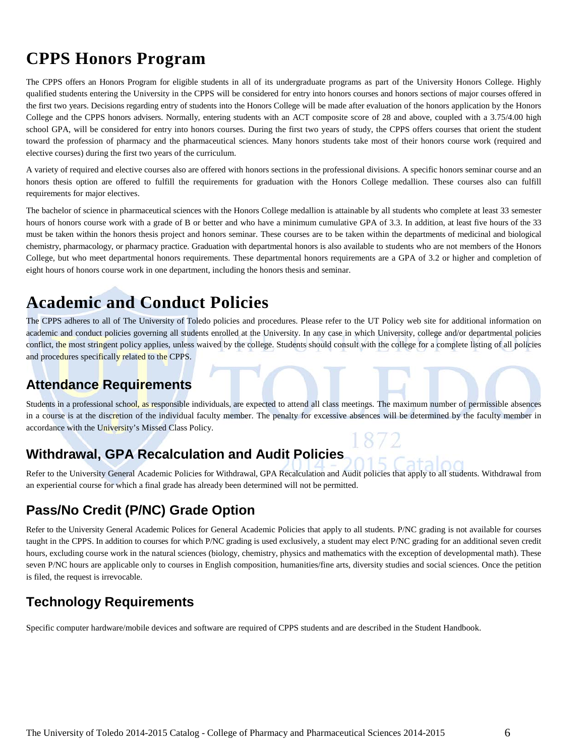# **CPPS Honors Program**

The CPPS offers an Honors Program for eligible students in all of its undergraduate programs as part of the University Honors College. Highly qualified students entering the University in the CPPS will be considered for entry into honors courses and honors sections of major courses offered in the first two years. Decisions regarding entry of students into the Honors College will be made after evaluation of the honors application by the Honors College and the CPPS honors advisers. Normally, entering students with an ACT composite score of 28 and above, coupled with a 3.75/4.00 high school GPA, will be considered for entry into honors courses. During the first two years of study, the CPPS offers courses that orient the student toward the profession of pharmacy and the pharmaceutical sciences. Many honors students take most of their honors course work (required and elective courses) during the first two years of the curriculum.

A variety of required and elective courses also are offered with honors sections in the professional divisions. A specific honors seminar course and an honors thesis option are offered to fulfill the requirements for graduation with the Honors College medallion. These courses also can fulfill requirements for major electives.

The bachelor of science in pharmaceutical sciences with the Honors College medallion is attainable by all students who complete at least 33 semester hours of honors course work with a grade of B or better and who have a minimum cumulative GPA of 3.3. In addition, at least five hours of the 33 must be taken within the honors thesis project and honors seminar. These courses are to be taken within the departments of medicinal and biological chemistry, pharmacology, or pharmacy practice. Graduation with departmental honors is also available to students who are not members of the Honors College, but who meet departmental honors requirements. These departmental honors requirements are a GPA of 3.2 or higher and completion of eight hours of honors course work in one department, including the honors thesis and seminar.

# **Academic and Conduct Policies**

The CPPS adheres to all of The University of Toledo policies and procedures. Please refer to the [UT Policy web site](http://utoledo.edu/policies/) for additional information on academic and conduct policies governing all students enrolled at the University. In any case in which University, college and/or departmental policies conflict, the most stringent policy applies, unless waived by the college. Students should consult with the college for a complete listing of all policies and procedures specifically related to the CPPS.

# **Attendance Requirements**

Students in a professional school, as responsible individuals, are expected to attend all class meetings. The maximum number of permissible absences in a course is at the discretion of the individual faculty member. The penalty for excessive absences will be determined by the faculty member in accordance with the University's Missed Class Policy.

# **Withdrawal, GPA Recalculation and Audit Policies**

Refer to the University General Academic Policies for Withdrawal, GPA Recalculation and Audit policies that apply to all students. Withdrawal from an experiential course for which a final grade has already been determined will not be permitted.

# **Pass/No Credit (P/NC) Grade Option**

Refer to the University General Academic Polices for General Academic Policies that apply to all students. P/NC grading is not available for courses taught in the CPPS. In addition to courses for which P/NC grading is used exclusively, a student may elect P/NC grading for an additional seven credit hours, excluding course work in the natural sciences (biology, chemistry, physics and mathematics with the exception of developmental math). These seven P/NC hours are applicable only to courses in English composition, humanities/fine arts, diversity studies and social sciences. Once the petition is filed, the request is irrevocable.

# **Technology Requirements**

Specific computer hardware/mobile devices and software are required of CPPS students and are described in the Student Handbook.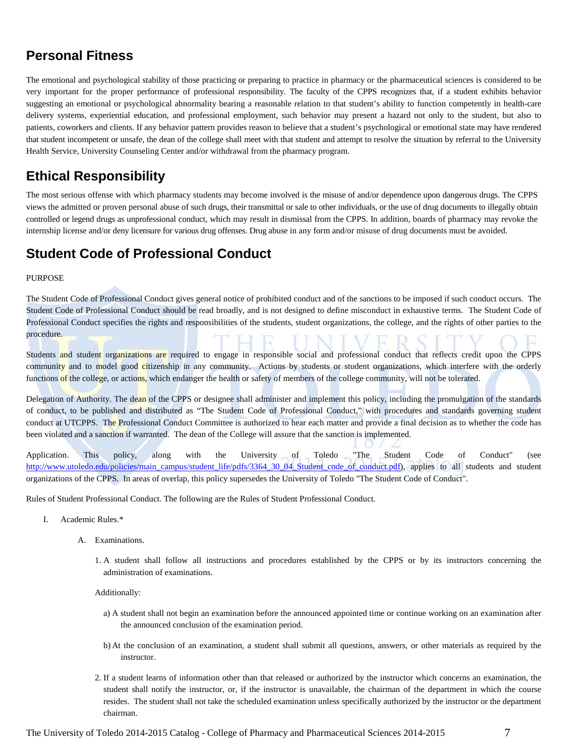# **Personal Fitness**

The emotional and psychological stability of those practicing or preparing to practice in pharmacy or the pharmaceutical sciences is considered to be very important for the proper performance of professional responsibility. The faculty of the CPPS recognizes that, if a student exhibits behavior suggesting an emotional or psychological abnormality bearing a reasonable relation to that student's ability to function competently in health-care delivery systems, experiential education, and professional employment, such behavior may present a hazard not only to the student, but also to patients, coworkers and clients. If any behavior pattern provides reason to believe that a student's psychological or emotional state may have rendered that student incompetent or unsafe, the dean of the college shall meet with that student and attempt to resolve the situation by referral to the University Health Service, University Counseling Center and/or withdrawal from the pharmacy program.

# **Ethical Responsibility**

The most serious offense with which pharmacy students may become involved is the misuse of and/or dependence upon dangerous drugs. The CPPS views the admitted or proven personal abuse of such drugs, their transmittal or sale to other individuals, or the use of drug documents to illegally obtain controlled or legend drugs as unprofessional conduct, which may result in dismissal from the CPPS. In addition, boards of pharmacy may revoke the internship license and/or deny licensure for various drug offenses. Drug abuse in any form and/or misuse of drug documents must be avoided.

# **Student Code of Professional Conduct**

#### PURPOSE

The Student Code of Professional Conduct gives general notice of prohibited conduct and of the sanctions to be imposed if such conduct occurs. The Student Code of Professional Conduct should be read broadly, and is not designed to define misconduct in exhaustive terms. The Student Code of Professional Conduct specifies the rights and responsibilities of the students, student organizations, the college, and the rights of other parties to the procedure.

Students and student organizations are required to engage in responsible social and professional conduct that reflects credit upon the CPPS community and to model good citizenship in any community. Actions by students or student organizations, which interfere with the orderly functions of the college, or actions, which endanger the health or safety of members of the college community, will not be tolerated.

Delegation of Authority. The dean of the CPPS or designee shall administer and implement this policy, including the promulgation of the standards of conduct, to be published and distributed as "The Student Code of Professional Conduct," with procedures and standards governing student conduct at UTCPPS. The Professional Conduct Committee is authorized to hear each matter and provide a final decision as to whether the code has been violated and a sanction if warranted. The dean of the College will assure that the sanction is implemented.

Application. This policy, along with the University of Toledo "The Student Code of Conduct" (see [http://www.utoledo.edu/policies/main\\_campus/student\\_life/pdfs/3364\\_30\\_04\\_Student\\_code\\_of\\_conduct.pdf\)](http://www.utoledo.edu/policies/main_campus/student_life/pdfs/3364_30_04_Student_code_of_conduct.pdf), applies to all students and student organizations of the CPPS. In areas of overlap, this policy supersedes the University of Toledo "The Student Code of Conduct".

Rules of Student Professional Conduct. The following are the Rules of Student Professional Conduct.

- I. Academic Rules.\*
	- A. Examinations.
		- 1. A student shall follow all instructions and procedures established by the CPPS or by its instructors concerning the administration of examinations.

Additionally:

- a) A student shall not begin an examination before the announced appointed time or continue working on an examination after the announced conclusion of the examination period.
- b) At the conclusion of an examination, a student shall submit all questions, answers, or other materials as required by the instructor.
- 2. If a student learns of information other than that released or authorized by the instructor which concerns an examination, the student shall notify the instructor, or, if the instructor is unavailable, the chairman of the department in which the course resides. The student shall not take the scheduled examination unless specifically authorized by the instructor or the department chairman.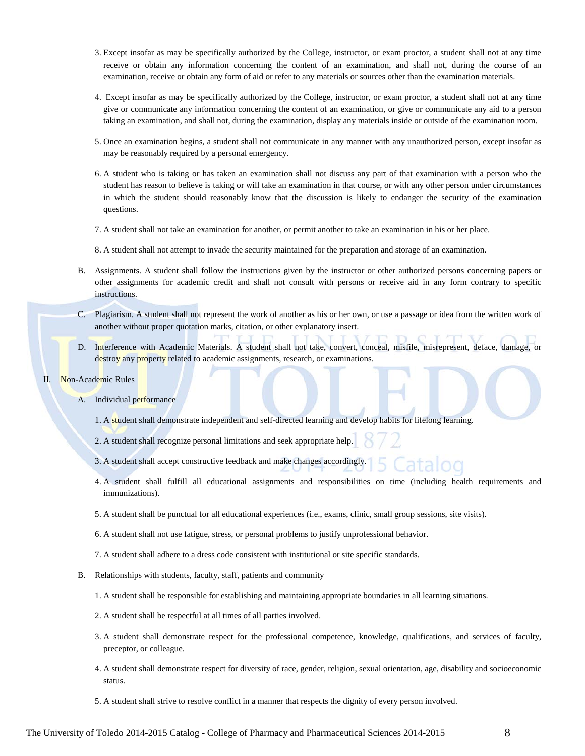- 3. Except insofar as may be specifically authorized by the College, instructor, or exam proctor, a student shall not at any time receive or obtain any information concerning the content of an examination, and shall not, during the course of an examination, receive or obtain any form of aid or refer to any materials or sources other than the examination materials.
- 4. Except insofar as may be specifically authorized by the College, instructor, or exam proctor, a student shall not at any time give or communicate any information concerning the content of an examination, or give or communicate any aid to a person taking an examination, and shall not, during the examination, display any materials inside or outside of the examination room.
- 5. Once an examination begins, a student shall not communicate in any manner with any unauthorized person, except insofar as may be reasonably required by a personal emergency.
- 6. A student who is taking or has taken an examination shall not discuss any part of that examination with a person who the student has reason to believe is taking or will take an examination in that course, or with any other person under circumstances in which the student should reasonably know that the discussion is likely to endanger the security of the examination questions.
- 7. A student shall not take an examination for another, or permit another to take an examination in his or her place.
- 8. A student shall not attempt to invade the security maintained for the preparation and storage of an examination.
- B. Assignments. A student shall follow the instructions given by the instructor or other authorized persons concerning papers or other assignments for academic credit and shall not consult with persons or receive aid in any form contrary to specific instructions.
- C. Plagiarism. A student shall not represent the work of another as his or her own, or use a passage or idea from the written work of another without proper quotation marks, citation, or other explanatory insert.
- D. Interference with Academic Materials. A student shall not take, convert, conceal, misfile, misrepresent, deface, damage, or destroy any property related to academic assignments, research, or examinations.
- II. Non-Academic Rules
	- A. Individual performance
		- 1. A student shall demonstrate independent and self-directed learning and develop habits for lifelong learning.
		- 2. A student shall recognize personal limitations and seek appropriate help.
		- 3. A student shall accept constructive feedback and make changes accordingly.
		- 4. A student shall fulfill all educational assignments and responsibilities on time (including health requirements and immunizations).
		- 5. A student shall be punctual for all educational experiences (i.e., exams, clinic, small group sessions, site visits).
		- 6. A student shall not use fatigue, stress, or personal problems to justify unprofessional behavior.
		- 7. A student shall adhere to a dress code consistent with institutional or site specific standards.
	- B. Relationships with students, faculty, staff, patients and community
		- 1. A student shall be responsible for establishing and maintaining appropriate boundaries in all learning situations.
		- 2. A student shall be respectful at all times of all parties involved.
		- 3. A student shall demonstrate respect for the professional competence, knowledge, qualifications, and services of faculty, preceptor, or colleague.
		- 4. A student shall demonstrate respect for diversity of race, gender, religion, sexual orientation, age, disability and socioeconomic status.
		- 5. A student shall strive to resolve conflict in a manner that respects the dignity of every person involved.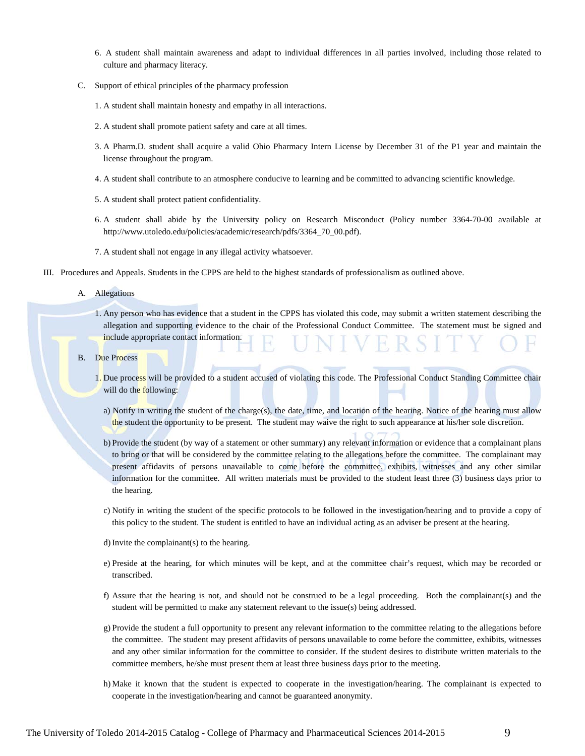- 6. A student shall maintain awareness and adapt to individual differences in all parties involved, including those related to culture and pharmacy literacy.
- C. Support of ethical principles of the pharmacy profession
	- 1. A student shall maintain honesty and empathy in all interactions.
	- 2. A student shall promote patient safety and care at all times.
	- 3. A Pharm.D. student shall acquire a valid Ohio Pharmacy Intern License by December 31 of the P1 year and maintain the license throughout the program.
	- 4. A student shall contribute to an atmosphere conducive to learning and be committed to advancing scientific knowledge.
	- 5. A student shall protect patient confidentiality.
	- 6. A student shall abide by the University policy on Research Misconduct (Policy number 3364-70-00 available at http://www.utoledo.edu/policies/academic/research/pdfs/3364\_70\_00.pdf).
	- 7. A student shall not engage in any illegal activity whatsoever.
- III. Procedures and Appeals. Students in the CPPS are held to the highest standards of professionalism as outlined above.

A. Allegations

- 1. Any person who has evidence that a student in the CPPS has violated this code, may submit a written statement describing the allegation and supporting evidence to the chair of the Professional Conduct Committee. The statement must be signed and include appropriate contact information.
- B. Due Process
	- 1. Due process will be provided to a student accused of violating this code. The Professional Conduct Standing Committee chair will do the following:
		- a) Notify in writing the student of the charge(s), the date, time, and location of the hearing. Notice of the hearing must allow the student the opportunity to be present. The student may waive the right to such appearance at his/her sole discretion.
		- b) Provide the student (by way of a statement or other summary) any relevant information or evidence that a complainant plans to bring or that will be considered by the committee relating to the allegations before the committee. The complainant may present affidavits of persons unavailable to come before the committee, exhibits, witnesses and any other similar information for the committee. All written materials must be provided to the student least three (3) business days prior to the hearing.
		- c) Notify in writing the student of the specific protocols to be followed in the investigation/hearing and to provide a copy of this policy to the student. The student is entitled to have an individual acting as an adviser be present at the hearing.
		- d)Invite the complainant(s) to the hearing.
		- e) Preside at the hearing, for which minutes will be kept, and at the committee chair's request, which may be recorded or transcribed.
		- f) Assure that the hearing is not, and should not be construed to be a legal proceeding. Both the complainant(s) and the student will be permitted to make any statement relevant to the issue(s) being addressed.
		- g) Provide the student a full opportunity to present any relevant information to the committee relating to the allegations before the committee. The student may present affidavits of persons unavailable to come before the committee, exhibits, witnesses and any other similar information for the committee to consider. If the student desires to distribute written materials to the committee members, he/she must present them at least three business days prior to the meeting.
		- h) Make it known that the student is expected to cooperate in the investigation/hearing. The complainant is expected to cooperate in the investigation/hearing and cannot be guaranteed anonymity.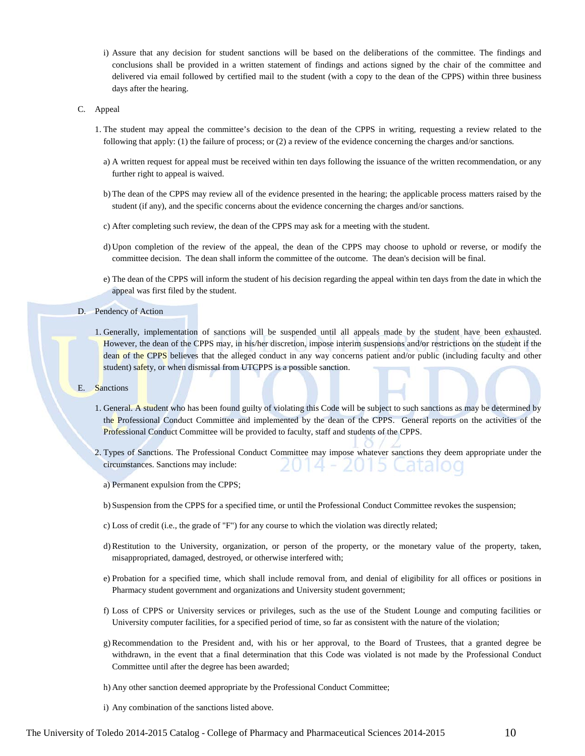- i) Assure that any decision for student sanctions will be based on the deliberations of the committee. The findings and conclusions shall be provided in a written statement of findings and actions signed by the chair of the committee and delivered via email followed by certified mail to the student (with a copy to the dean of the CPPS) within three business days after the hearing.
- C. Appeal
	- 1. The student may appeal the committee's decision to the dean of the CPPS in writing, requesting a review related to the following that apply: (1) the failure of process; or (2) a review of the evidence concerning the charges and/or sanctions.
		- a) A written request for appeal must be received within ten days following the issuance of the written recommendation, or any further right to appeal is waived.
		- b) The dean of the CPPS may review all of the evidence presented in the hearing; the applicable process matters raised by the student (if any), and the specific concerns about the evidence concerning the charges and/or sanctions.
		- c) After completing such review, the dean of the CPPS may ask for a meeting with the student.
		- d) Upon completion of the review of the appeal, the dean of the CPPS may choose to uphold or reverse, or modify the committee decision. The dean shall inform the committee of the outcome. The dean's decision will be final.
		- e) The dean of the CPPS will inform the student of his decision regarding the appeal within ten days from the date in which the appeal was first filed by the student.

#### D. Pendency of Action

- 1. Generally, implementation of sanctions will be suspended until all appeals made by the student have been exhausted. However, the dean of the CPPS may, in his/her discretion, impose interim suspensions and/or restrictions on the student if the dean of the CPPS believes that the alleged conduct in any way concerns patient and/or public (including faculty and other student) safety, or when dismissal from UTCPPS is a possible sanction.
- E. Sanctions
	- 1. General. A student who has been found guilty of violating this Code will be subject to such sanctions as may be determined by the Professional Conduct Committee and implemented by the dean of the CPPS. General reports on the activities of the Professional Conduct Committee will be provided to faculty, staff and students of the CPPS.
	- 2. Types of Sanctions. The Professional Conduct Committee may impose whatever sanctions they deem appropriate under the 2015 Cataloc circumstances. Sanctions may include:
		- a) Permanent expulsion from the CPPS;
		- b) Suspension from the CPPS for a specified time, or until the Professional Conduct Committee revokes the suspension;
		- c) Loss of credit (i.e., the grade of "F") for any course to which the violation was directly related;
		- d)Restitution to the University, organization, or person of the property, or the monetary value of the property, taken, misappropriated, damaged, destroyed, or otherwise interfered with;
		- e) Probation for a specified time, which shall include removal from, and denial of eligibility for all offices or positions in Pharmacy student government and organizations and University student government;
		- f) Loss of CPPS or University services or privileges, such as the use of the Student Lounge and computing facilities or University computer facilities, for a specified period of time, so far as consistent with the nature of the violation;
		- g) Recommendation to the President and, with his or her approval, to the Board of Trustees, that a granted degree be withdrawn, in the event that a final determination that this Code was violated is not made by the Professional Conduct Committee until after the degree has been awarded;
		- h) Any other sanction deemed appropriate by the Professional Conduct Committee;
		- i) Any combination of the sanctions listed above.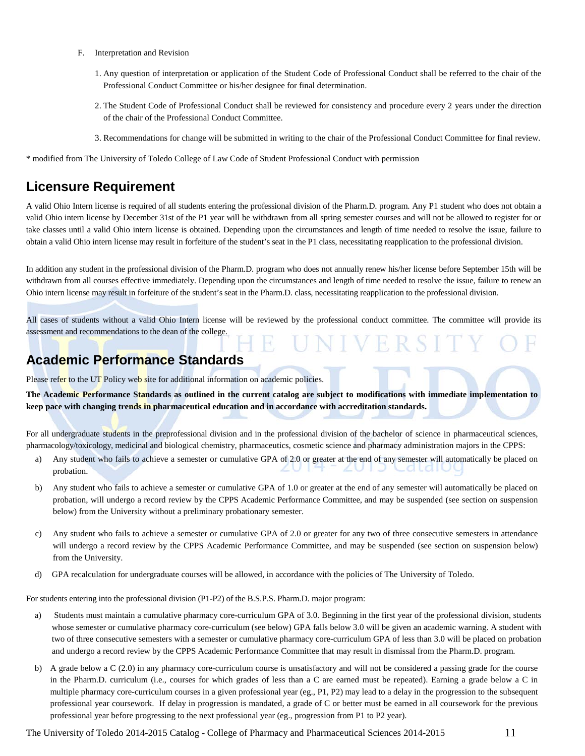- F. Interpretation and Revision
	- 1. Any question of interpretation or application of the Student Code of Professional Conduct shall be referred to the chair of the Professional Conduct Committee or his/her designee for final determination.
	- 2. The Student Code of Professional Conduct shall be reviewed for consistency and procedure every 2 years under the direction of the chair of the Professional Conduct Committee.
	- 3. Recommendations for change will be submitted in writing to the chair of the Professional Conduct Committee for final review.

\* modified from The University of Toledo College of Law Code of Student Professional Conduct with permission

# **Licensure Requirement**

A valid Ohio Intern license is required of all students entering the professional division of the Pharm.D. program. Any P1 student who does not obtain a valid Ohio intern license by December 31st of the P1 year will be withdrawn from all spring semester courses and will not be allowed to register for or take classes until a valid Ohio intern license is obtained. Depending upon the circumstances and length of time needed to resolve the issue, failure to obtain a valid Ohio intern license may result in forfeiture of the student's seat in the P1 class, necessitating reapplication to the professional division.

In addition any student in the professional division of the Pharm.D. program who does not annually renew his/her license before September 15th will be withdrawn from all courses effective immediately. Depending upon the circumstances and length of time needed to resolve the issue, failure to renew an Ohio intern license may result in forfeiture of the student's seat in the Pharm.D. class, necessitating reapplication to the professional division.

All cases of students without a valid Ohio Intern license will be reviewed by the professional conduct committee. The committee will provide its assessment and recommendations to the dean of the college.

H

R.

# **Academic Performance Standards**

Please refer to th[e UT Policy web site](http://utoledo.edu/policies/) for additional information on academic policies.

**The Academic Performance Standards as outlined in the current catalog are subject to modifications with immediate implementation to keep pace with changing trends in pharmaceutical education and in accordance with accreditation standards.**

For all undergraduate students in the preprofessional division and in the professional division of the bachelor of science in pharmaceutical sciences, pharmacology/toxicology, medicinal and biological chemistry, pharmaceutics, cosmetic science and pharmacy administration majors in the CPPS:

- a) Any student who fails to achieve a semester or cumulative GPA of 2.0 or greater at the end of any semester will automatically be placed on probation.
- b) Any student who fails to achieve a semester or cumulative GPA of 1.0 or greater at the end of any semester will automatically be placed on probation, will undergo a record review by the CPPS Academic Performance Committee, and may be suspended (see section on suspension below) from the University without a preliminary probationary semester.
- c) Any student who fails to achieve a semester or cumulative GPA of 2.0 or greater for any two of three consecutive semesters in attendance will undergo a record review by the CPPS Academic Performance Committee, and may be suspended (see section on suspension below) from the University.
- d) GPA recalculation for undergraduate courses will be allowed, in accordance with the policies of The University of Toledo.

For students entering into the professional division (P1-P2) of the B.S.P.S. Pharm.D. major program:

- a) Students must maintain a cumulative pharmacy core-curriculum GPA of 3.0. Beginning in the first year of the professional division, students whose semester or cumulative pharmacy core-curriculum (see below) GPA falls below 3.0 will be given an academic warning. A student with two of three consecutive semesters with a semester or cumulative pharmacy core-curriculum GPA of less than 3.0 will be placed on probation and undergo a record review by the CPPS Academic Performance Committee that may result in dismissal from the Pharm.D. program.
- b) A grade below a C (2.0) in any pharmacy core-curriculum course is unsatisfactory and will not be considered a passing grade for the course in the Pharm.D. curriculum (i.e., courses for which grades of less than a C are earned must be repeated). Earning a grade below a C in multiple pharmacy core-curriculum courses in a given professional year (eg., P1, P2) may lead to a delay in the progression to the subsequent professional year coursework. If delay in progression is mandated, a grade of C or better must be earned in all coursework for the previous professional year before progressing to the next professional year (eg., progression from P1 to P2 year).

The University of Toledo 2014-2015 Catalog - College of Pharmacy and Pharmaceutical Sciences 2014-2015 11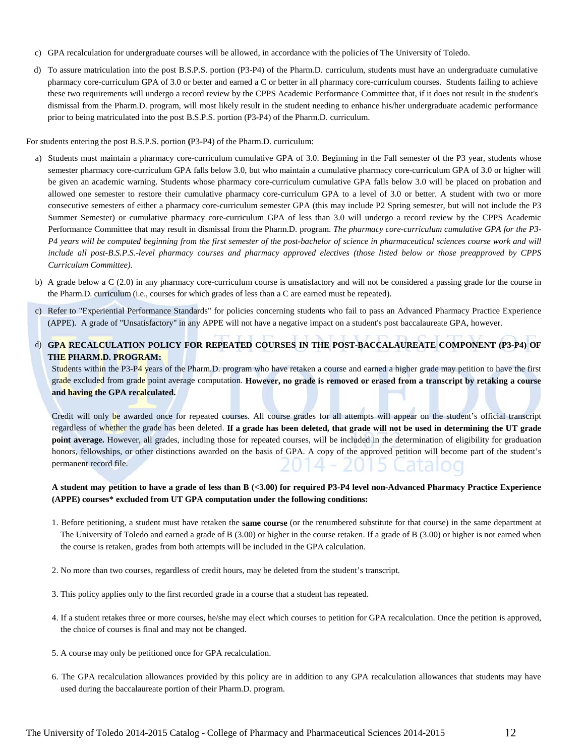- c) GPA recalculation for undergraduate courses will be allowed, in accordance with the policies of The University of Toledo.
- d) To assure matriculation into the post B.S.P.S. portion (P3-P4) of the Pharm.D. curriculum, students must have an undergraduate cumulative pharmacy core-curriculum GPA of 3.0 or better and earned a C or better in all pharmacy core-curriculum courses. Students failing to achieve these two requirements will undergo a record review by the CPPS Academic Performance Committee that, if it does not result in the student's dismissal from the Pharm.D. program, will most likely result in the student needing to enhance his/her undergraduate academic performance prior to being matriculated into the post B.S.P.S. portion (P3-P4) of the Pharm.D. curriculum.

For students entering the post B.S.P.S. portion **(**P3-P4) of the Pharm.D. curriculum:

- a) Students must maintain a pharmacy core-curriculum cumulative GPA of 3.0. Beginning in the Fall semester of the P3 year, students whose semester pharmacy core-curriculum GPA falls below 3.0, but who maintain a cumulative pharmacy core-curriculum GPA of 3.0 or higher will be given an academic warning. Students whose pharmacy core-curriculum cumulative GPA falls below 3.0 will be placed on probation and allowed one semester to restore their cumulative pharmacy core-curriculum GPA to a level of 3.0 or better. A student with two or more consecutive semesters of either a pharmacy core-curriculum semester GPA (this may include P2 Spring semester, but will not include the P3 Summer Semester) or cumulative pharmacy core-curriculum GPA of less than 3.0 will undergo a record review by the CPPS Academic Performance Committee that may result in dismissal from the Pharm.D. program. *The pharmacy core-curriculum cumulative GPA for the P3- P4 years will be computed beginning from the first semester of the post-bachelor of science in pharmaceutical sciences course work and will include all post-B.S.P.S.-level pharmacy courses and pharmacy approved electives (those listed below or those preapproved by CPPS Curriculum Committee).*
- b) A grade below a C (2.0) in any pharmacy core-curriculum course is unsatisfactory and will not be considered a passing grade for the course in the Pharm.D. curriculum (i.e., courses for which grades of less than a C are earned must be repeated).
- c) Refer to "Experiential Performance Standards" for policies concerning students who fail to pass an Advanced Pharmacy Practice Experience (APPE). A grade of "Unsatisfactory" in any APPE will not have a negative impact on a student's post baccalaureate GPA, however.
- d) **GPA RECALCULATION POLICY FOR REPEATED COURSES IN THE POST-BACCALAUREATE COMPONENT (P3-P4) OF THE PHARM.D. PROGRAM:**

Students within the P3-P4 years of the Pharm.D. program who have retaken a course and earned a higher grade may petition to have the first grade excluded from grade point average computation. **However, no grade is removed or erased from a transcript by retaking a course and having the GPA recalculated.**

Credit will only be awarded once for repeated courses. All course grades for all attempts will appear on the student's official transcript regardless of whether the grade has been deleted. **If a grade has been deleted, that grade will not be used in determining the UT grade point average.** However, all grades, including those for repeated courses, will be included in the determination of eligibility for graduation honors, fellowships, or other distinctions awarded on the basis of GPA. A copy of the approved petition will become part of the student's !014 - 2015 Cat permanent record file.

#### **A student may petition to have a grade of less than B (<3.00) for required P3-P4 level non-Advanced Pharmacy Practice Experience (APPE) courses\* excluded from UT GPA computation under the following conditions:**

- 1. Before petitioning, a student must have retaken the **same course** (or the renumbered substitute for that course) in the same department at The University of Toledo and earned a grade of B (3.00) or higher in the course retaken. If a grade of B (3.00) or higher is not earned when the course is retaken, grades from both attempts will be included in the GPA calculation.
- 2. No more than two courses, regardless of credit hours, may be deleted from the student's transcript.
- 3. This policy applies only to the first recorded grade in a course that a student has repeated.
- 4. If a student retakes three or more courses, he/she may elect which courses to petition for GPA recalculation. Once the petition is approved, the choice of courses is final and may not be changed.
- 5. A course may only be petitioned once for GPA recalculation.
- 6. The GPA recalculation allowances provided by this policy are in addition to any GPA recalculation allowances that students may have used during the baccalaureate portion of their Pharm.D. program.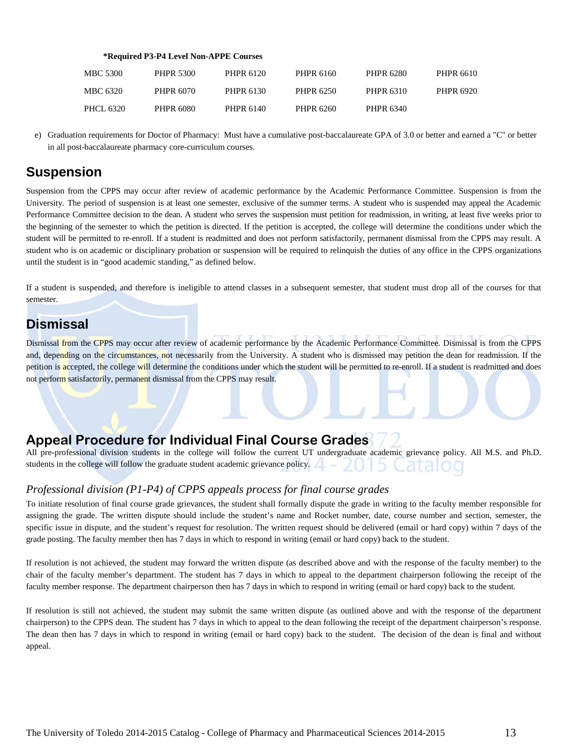#### **\*Required P3-P4 Level Non-APPE Courses**

| <b>MBC 5300</b> | <b>PHPR 5300</b> | PHPR 6120 | PHPR 6160 | PHPR 6280 | <b>PHPR 6610</b> |
|-----------------|------------------|-----------|-----------|-----------|------------------|
| MBC 6320        | PHPR 6070        | PHPR 6130 | PHPR 6250 | PHPR 6310 | <b>PHPR 6920</b> |
| PHCL 6320       | PHPR 6080        | PHPR 6140 | PHPR 6260 | PHPR 6340 |                  |

e) Graduation requirements for Doctor of Pharmacy: Must have a cumulative post-baccalaureate GPA of 3.0 or better and earned a "C" or better in all post-baccalaureate pharmacy core-curriculum courses.

# **Suspension**

Suspension from the CPPS may occur after review of academic performance by the Academic Performance Committee. Suspension is from the University. The period of suspension is at least one semester, exclusive of the summer terms. A student who is suspended may appeal the Academic Performance Committee decision to the dean. A student who serves the suspension must petition for readmission, in writing, at least five weeks prior to the beginning of the semester to which the petition is directed. If the petition is accepted, the college will determine the conditions under which the student will be permitted to re-enroll. If a student is readmitted and does not perform satisfactorily, permanent dismissal from the CPPS may result. A student who is on academic or disciplinary probation or suspension will be required to relinquish the duties of any office in the CPPS organizations until the student is in "good academic standing," as defined below.

If a student is suspended, and therefore is ineligible to attend classes in a subsequent semester, that student must drop all of the courses for that semester.

## **Dismissal**

Dismissal from the CPPS may occur after review of academic performance by the Academic Performance Committee. Dismissal is from the CPPS and, depending on the circumstances, not necessarily from the University. A student who is dismissed may petition the dean for readmission. If the petition is accepted, the college will determine the conditions under which the student will be permitted to re-enroll. If a student is readmitted and does not perform satisfactorily, permanent dismissal from the CPPS may result.

# **Appeal Procedure for Individual Final Course Grades**

All pre-professional division students in the college will follow the current UT undergraduate academic grievance policy. All M.S. and Ph.D. students in the college will follow the graduate student academic grievance policy. zu ib Cataloo

## *Professional division (P1-P4) of CPPS appeals process for final course grades*

To initiate resolution of final course grade grievances, the student shall formally dispute the grade in writing to the faculty member responsible for assigning the grade. The written dispute should include the student's name and Rocket number, date, course number and section, semester, the specific issue in dispute, and the student's request for resolution. The written request should be delivered (email or hard copy) within 7 days of the grade posting. The faculty member then has 7 days in which to respond in writing (email or hard copy) back to the student.

If resolution is not achieved, the student may forward the written dispute (as described above and with the response of the faculty member) to the chair of the faculty member's department. The student has 7 days in which to appeal to the department chairperson following the receipt of the faculty member response. The department chairperson then has 7 days in which to respond in writing (email or hard copy) back to the student.

If resolution is still not achieved, the student may submit the same written dispute (as outlined above and with the response of the department chairperson) to the CPPS dean. The student has 7 days in which to appeal to the dean following the receipt of the department chairperson's response. The dean then has 7 days in which to respond in writing (email or hard copy) back to the student. The decision of the dean is final and without appeal.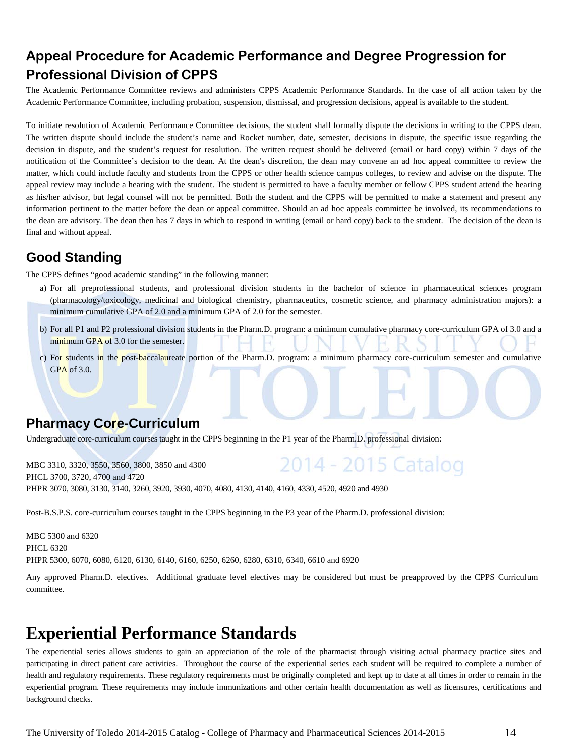# **Appeal Procedure for Academic Performance and Degree Progression for Professional Division of CPPS**

The Academic Performance Committee reviews and administers CPPS Academic Performance Standards. In the case of all action taken by the Academic Performance Committee, including probation, suspension, dismissal, and progression decisions, appeal is available to the student.

To initiate resolution of Academic Performance Committee decisions, the student shall formally dispute the decisions in writing to the CPPS dean. The written dispute should include the student's name and Rocket number, date, semester, decisions in dispute, the specific issue regarding the decision in dispute, and the student's request for resolution. The written request should be delivered (email or hard copy) within 7 days of the notification of the Committee's decision to the dean. At the dean's discretion, the dean may convene an ad hoc appeal committee to review the matter, which could include faculty and students from the CPPS or other health science campus colleges, to review and advise on the dispute. The appeal review may include a hearing with the student. The student is permitted to have a faculty member or fellow CPPS student attend the hearing as his/her advisor, but legal counsel will not be permitted. Both the student and the CPPS will be permitted to make a statement and present any information pertinent to the matter before the dean or appeal committee. Should an ad hoc appeals committee be involved, its recommendations to the dean are advisory. The dean then has 7 days in which to respond in writing (email or hard copy) back to the student. The decision of the dean is final and without appeal.

# **Good Standing**

The CPPS defines "good academic standing" in the following manner:

- a) For all preprofessional students, and professional division students in the bachelor of science in pharmaceutical sciences program (pharmacology/toxicology, medicinal and biological chemistry, pharmaceutics, cosmetic science, and pharmacy administration majors): a minimum cumulative GPA of 2.0 and a minimum GPA of 2.0 for the semester.
- b) For all P1 and P2 professional division students in the Pharm.D. program: a minimum cumulative pharmacy core-curriculum GPA of 3.0 and a minimum GPA of 3.0 for the semester.
- c) For students in the post-baccalaureate portion of the Pharm.D. program: a minimum pharmacy core-curriculum semester and cumulative GPA of 3.0.

# **Pharmacy Core-Curriculum**

Undergraduate core-curriculum courses taught in the CPPS beginning in the P1 year of the Pharm.D. professional division:

2014 - 2015 Catalog MBC 3310, 3320, 3550, 3560, 3800, 3850 and 4300 PHCL 3700, 3720, 4700 and 4720 PHPR 3070, 3080, 3130, 3140, 3260, 3920, 3930, 4070, 4080, 4130, 4140, 4160, 4330, 4520, 4920 and 4930

Post-B.S.P.S. core-curriculum courses taught in the CPPS beginning in the P3 year of the Pharm.D. professional division:

MBC 5300 and 6320 PHCL 6320 PHPR 5300, 6070, 6080, 6120, 6130, 6140, 6160, 6250, 6260, 6280, 6310, 6340, 6610 and 6920

Any approved Pharm.D. electives. Additional graduate level electives may be considered but must be preapproved by the CPPS Curriculum committee.

# **Experiential Performance Standards**

The experiential series allows students to gain an appreciation of the role of the pharmacist through visiting actual pharmacy practice sites and participating in direct patient care activities. Throughout the course of the experiential series each student will be required to complete a number of health and regulatory requirements. These regulatory requirements must be originally completed and kept up to date at all times in order to remain in the experiential program. These requirements may include immunizations and other certain health documentation as well as licensures, certifications and background checks.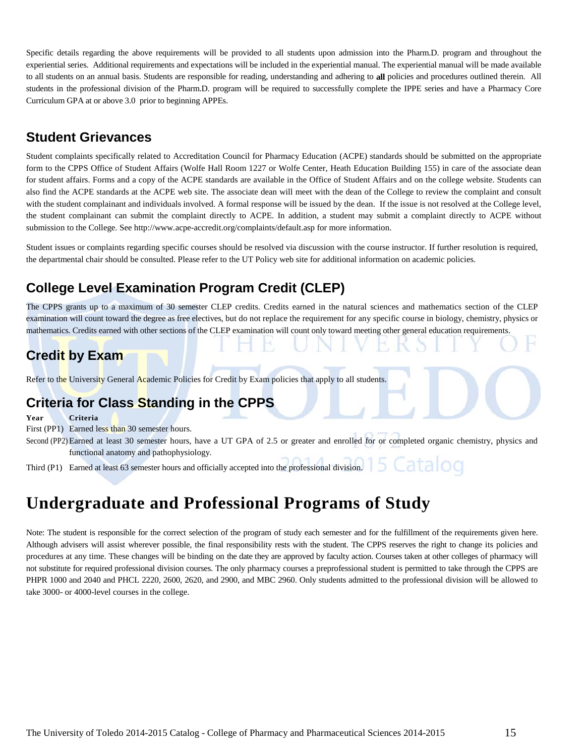Specific details regarding the above requirements will be provided to all students upon admission into the Pharm.D. program and throughout the experiential series. Additional requirements and expectations will be included in the experiential manual. The experiential manual will be made available to all students on an annual basis. Students are responsible for reading, understanding and adhering to **all** policies and procedures outlined therein. All students in the professional division of the Pharm.D. program will be required to successfully complete the IPPE series and have a Pharmacy Core Curriculum GPA at or above 3.0 prior to beginning APPEs.

# **Student Grievances**

Student complaints specifically related to Accreditation Council for Pharmacy Education (ACPE) standards should be submitted on the appropriate form to the CPPS Office of Student Affairs (Wolfe Hall Room 1227 or Wolfe Center, Heath Education Building 155) in care of the associate dean for student affairs. Forms and a copy of the ACPE standards are available in the Office of Student Affairs and on the college website. Students can also find the ACPE standards at the ACPE web site. The associate dean will meet with the dean of the College to review the complaint and consult with the student complainant and individuals involved. A formal response will be issued by the dean. If the issue is not resolved at the College level, the student complainant can submit the complaint directly to ACPE. In addition, a student may submit a complaint directly to ACPE without submission to the College. Se[e http://www.acpe-accredit.org/complaints/default.asp](http://www.acpe-accredit.org/complaints/default.asp) for more information.

Student issues or complaints regarding specific courses should be resolved via discussion with the course instructor. If further resolution is required, the departmental chair should be consulted. Please refer to the UT Policy web site for additional information on academic policies.

# **College Level Examination Program Credit (CLEP)**

The CPPS grants up to a maximum of 30 semester CLEP credits. Credits earned in the natural sciences and mathematics section of the CLEP examination will count toward the degree as free electives, but do not replace the requirement for any specific course in biology, chemistry, physics or mathematics. Credits earned with other sections of the CLEP examination will count only toward meeting other general education requirements.

# **Credit by Exam**

Refer to the University General Academic Policies for Credit by Exam policies that apply to all students.

# **Criteria for Class Standing in the CPPS**

**Year Criteria**

First (PP1) Earned less than 30 semester hours.

Second (PP2) Earned at least 30 semester hours, have a UT GPA of 2.5 or greater and enrolled for or completed organic chemistry, physics and functional anatomy and pathophysiology.

atalog Third (P1) Earned at least 63 semester hours and officially accepted into the professional division.

# **Undergraduate and Professional Programs of Study**

Note: The student is responsible for the correct selection of the program of study each semester and for the fulfillment of the requirements given here. Although advisers will assist wherever possible, the final responsibility rests with the student. The CPPS reserves the right to change its policies and procedures at any time. These changes will be binding on the date they are approved by faculty action. Courses taken at other colleges of pharmacy will not substitute for required professional division courses. The only pharmacy courses a preprofessional student is permitted to take through the CPPS are PHPR 1000 and 2040 and PHCL 2220, 2600, 2620, and 2900, and MBC 2960. Only students admitted to the professional division will be allowed to take 3000- or 4000-level courses in the college.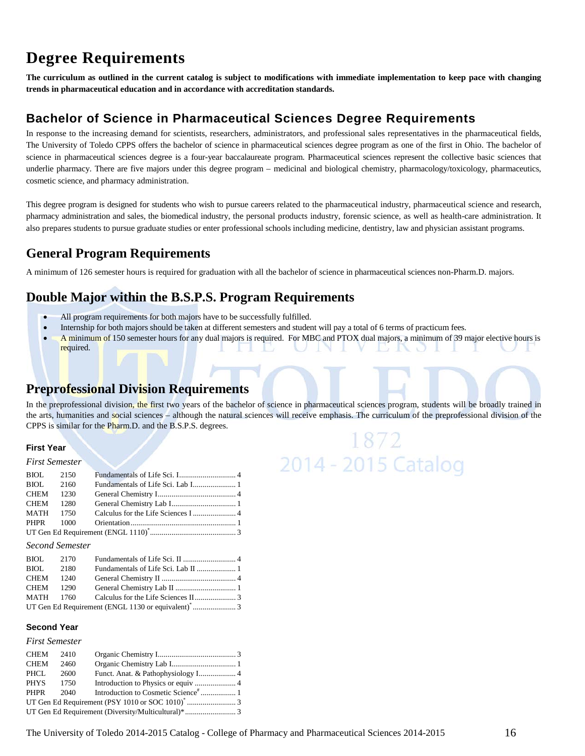# **Degree Requirements**

**The curriculum as outlined in the current catalog is subject to modifications with immediate implementation to keep pace with changing trends in pharmaceutical education and in accordance with accreditation standards.**

## **Bachelor of Science in Pharmaceutical Sciences Degree Requirements**

In response to the increasing demand for scientists, researchers, administrators, and professional sales representatives in the pharmaceutical fields, The University of Toledo CPPS offers the bachelor of science in pharmaceutical sciences degree program as one of the first in Ohio. The bachelor of science in pharmaceutical sciences degree is a four-year baccalaureate program. Pharmaceutical sciences represent the collective basic sciences that underlie pharmacy. There are five majors under this degree program – medicinal and biological chemistry, pharmacology/toxicology, pharmaceutics, cosmetic science, and pharmacy administration.

This degree program is designed for students who wish to pursue careers related to the pharmaceutical industry, pharmaceutical science and research, pharmacy administration and sales, the biomedical industry, the personal products industry, forensic science, as well as health-care administration. It also prepares students to pursue graduate studies or enter professional schools including medicine, dentistry, law and physician assistant programs.

# **General Program Requirements**

A minimum of 126 semester hours is required for graduation with all the bachelor of science in pharmaceutical sciences non-Pharm.D. majors.

# **Double Major within the B.S.P.S. Program Requirements**

- All program requirements for both majors have to be successfully fulfilled.
- Internship for both majors should be taken at different semesters and student will pay a total of 6 terms of practicum fees.
- A minimum of 150 semester hours for any dual majors is required. For MBC and PTOX dual majors, a minimum of 39 major elective hours is required.  $\mathbb{R}^n$

# **Preprofessional Division Requirements**

In the preprofessional division, the first two years of the bachelor of science in pharmaceutical sciences program, students will be broadly trained in the arts, humanities and social sciences – although the natural sciences will receive emphasis. The curriculum of the preprofessional division of the CPPS is similar for the Pharm.D. and the B.S.P.S. degrees.

1872

2014 - 2015 Catalog

#### **First Year**

#### *First Semester* BIOL 2150 Fundamentals of Life Sci. I............................. 4 BIOL 2160 Fundamentals of Life Sci. Lab I...................... 1 CHEM 1230 General Chemistry I........................................ 4 CHEM 1280 General Chemistry Lab I................................. 1 MATH 1750 Calculus for the Life Sciences I ...................... 4 PHPR 1000 Orientation...................................................... 1 UT Gen Ed Requirement (ENGL 1110)\* ............................................ 3

#### *Second Semester*

| BIOL 2170        |           |  |
|------------------|-----------|--|
| <b>BIOL</b> 2180 |           |  |
| CHEM 1240        |           |  |
|                  | CHEM 1290 |  |
|                  |           |  |
|                  |           |  |

#### **Second Year**

#### *First Semester*

| CHEM        | 2410 |  |
|-------------|------|--|
| <b>CHEM</b> | 2460 |  |
| PHCL        | 2600 |  |
| PHYS 1750   |      |  |
| PHPR        | 2040 |  |
|             |      |  |
|             |      |  |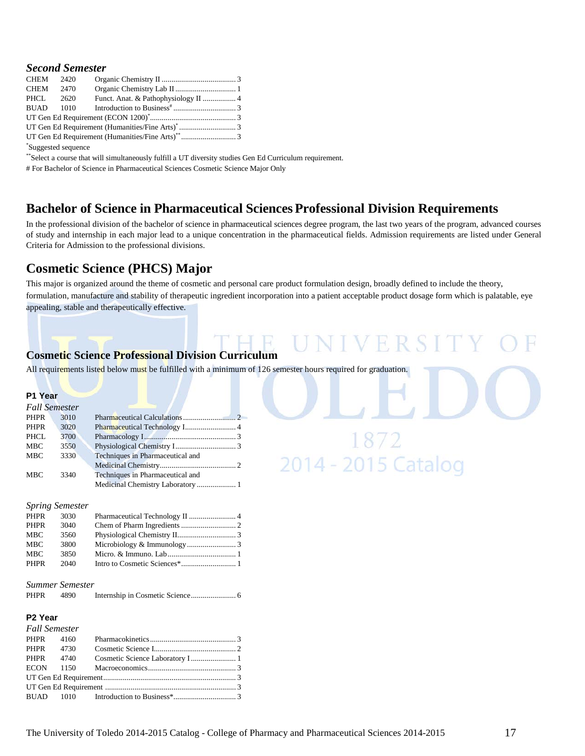| CHEM 2420           |      |  |
|---------------------|------|--|
| CHEM                | 2470 |  |
| PHCL 2620           |      |  |
|                     |      |  |
|                     |      |  |
|                     |      |  |
|                     |      |  |
| *Suggested sequence |      |  |

\*\*Select a course that will simultaneously fulfill a UT diversity studies Gen Ed Curriculum requirement.

# For Bachelor of Science in Pharmaceutical Sciences Cosmetic Science Major Only

## **Bachelor of Science in Pharmaceutical SciencesProfessional Division Requirements**

In the professional division of the bachelor of science in pharmaceutical sciences degree program, the last two years of the program, advanced courses of study and internship in each major lead to a unique concentration in the pharmaceutical fields. Admission requirements are listed under General Criteria for Admission to the professional divisions.

## **Cosmetic Science (PHCS) Major**

This major is organized around the theme of cosmetic and personal care product formulation design, broadly defined to include the theory, formulation, manufacture and stability of therapeutic ingredient incorporation into a patient acceptable product dosage form which is palatable, eye appealing, stable and therapeutically effective.

V FER

1872<br>2014 - 2015 Catalog

## **Cosmetic Science Professional Division Curriculum**

All requirements listed below must be fulfilled with a minimum of 126 semester hours required for graduation.

#### **P1 Year** *Fall Semester*

| r au Semesier |      |                                  |  |
|---------------|------|----------------------------------|--|
| PHPR          | 3010 |                                  |  |
| <b>PHPR</b>   | 3020 |                                  |  |
| PHCL          | 3700 |                                  |  |
| <b>MBC</b>    | 3550 |                                  |  |
| <b>MBC</b>    | 3330 | Techniques in Pharmaceutical and |  |
|               |      |                                  |  |
| <b>MBC</b>    | 3340 | Techniques in Pharmaceutical and |  |
|               |      |                                  |  |
|               |      |                                  |  |

#### *Spring Semester*

| PHPR        | 3030 |  |
|-------------|------|--|
| <b>PHPR</b> | 3040 |  |
| MBC         | 3560 |  |
| MBC         | 3800 |  |
| <b>MBC</b>  | 3850 |  |
| <b>PHPR</b> | 2040 |  |
|             |      |  |

# *Summer Semester*

PHPR 4890 Internship in Cosmetic Science....................... 6

#### **P2 Year** *Fall Semester*

| r au Semester |  |  |
|---------------|--|--|
|               |  |  |
| PHPR 4730     |  |  |
|               |  |  |
|               |  |  |
|               |  |  |
|               |  |  |
|               |  |  |
|               |  |  |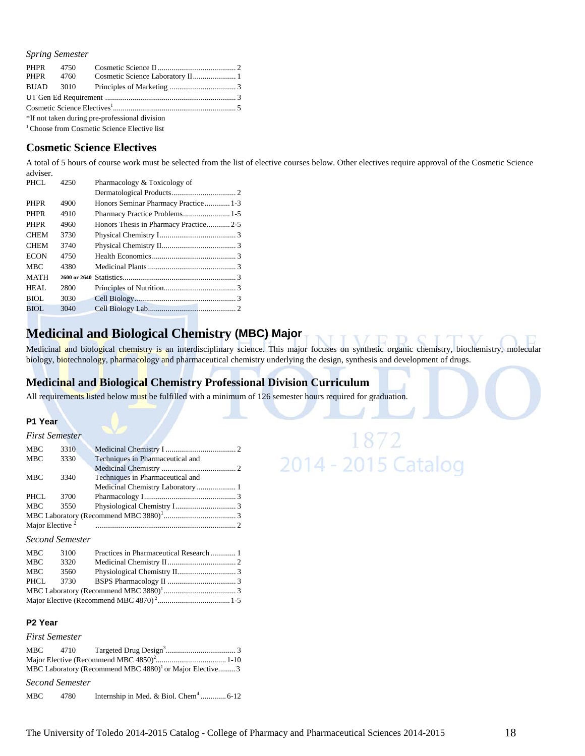*Spring Semester*

| PHPR 4750 |                                                |  |
|-----------|------------------------------------------------|--|
|           |                                                |  |
|           |                                                |  |
|           |                                                |  |
|           |                                                |  |
|           | *If not taken during pre-professional division |  |

<sup>1</sup> Choose from Cosmetic Science Elective list

#### **Cosmetic Science Electives**

A total of 5 hours of course work must be selected from the list of elective courses below. Other electives require approval of the Cosmetic Science adviser.

| AUVINEL.    |      |                                       |  |
|-------------|------|---------------------------------------|--|
| PHCL        | 4250 | Pharmacology & Toxicology of          |  |
|             |      |                                       |  |
| <b>PHPR</b> | 4900 | Honors Seminar Pharmacy Practice 1-3  |  |
| <b>PHPR</b> | 4910 | Pharmacy Practice Problems 1-5        |  |
| <b>PHPR</b> | 4960 | Honors Thesis in Pharmacy Practice2-5 |  |
| <b>CHEM</b> | 3730 |                                       |  |
| <b>CHEM</b> | 3740 |                                       |  |
| <b>ECON</b> | 4750 |                                       |  |
| <b>MBC</b>  | 4380 |                                       |  |
| <b>MATH</b> |      |                                       |  |
| HEAL        | 2800 |                                       |  |
| BIOL        | 3030 |                                       |  |
| BIOL        | 3040 |                                       |  |
|             |      |                                       |  |

## **Medicinal and Biological Chemistry (MBC) Major**

Medicinal and biological chemistry is an interdisciplinary science. This major focuses on synthetic organic chemistry, biochemistry, molecular biology, biotechnology, pharmacology and pharmaceutical chemistry underlying the design, synthesis and development of drugs.

## **Medicinal and Biological Chemistry Professional Division Curriculum**

All requirements listed below must be fulfilled with a minimum of 126 semester hours required for graduation.

#### **P1 Year**

|                             | <b>First Semester</b> |                                   |  |
|-----------------------------|-----------------------|-----------------------------------|--|
| <b>MBC</b>                  | 3310                  |                                   |  |
| <b>MBC</b>                  | 3330                  | Techniques in Pharmaceutical and  |  |
|                             |                       |                                   |  |
| <b>MBC</b>                  | 3340                  | Techniques in Pharmaceutical and  |  |
|                             |                       | Medicinal Chemistry Laboratory  1 |  |
| PHCL                        | 3700                  |                                   |  |
| <b>MBC</b>                  | 3550                  |                                   |  |
|                             |                       |                                   |  |
| Major Elective <sup>2</sup> |                       |                                   |  |
|                             |                       |                                   |  |

#### *Second Semester*

| MBC  | 3100 | Practices in Pharmaceutical Research 1 |  |
|------|------|----------------------------------------|--|
| MBC  | 3320 |                                        |  |
| MBC  | 3560 |                                        |  |
| PHCL |      |                                        |  |
|      |      |                                        |  |
|      |      |                                        |  |

#### **P2 Year**

#### *First Semester*

| MBC 4710 |                                                                     |  |
|----------|---------------------------------------------------------------------|--|
|          |                                                                     |  |
|          | MBC Laboratory (Recommend MBC 4880) <sup>1</sup> or Major Elective3 |  |

*Second Semester*

| MBC | 4780 |  |  |
|-----|------|--|--|
|-----|------|--|--|

# 1872<br>2014 - 2015 Catalog 1872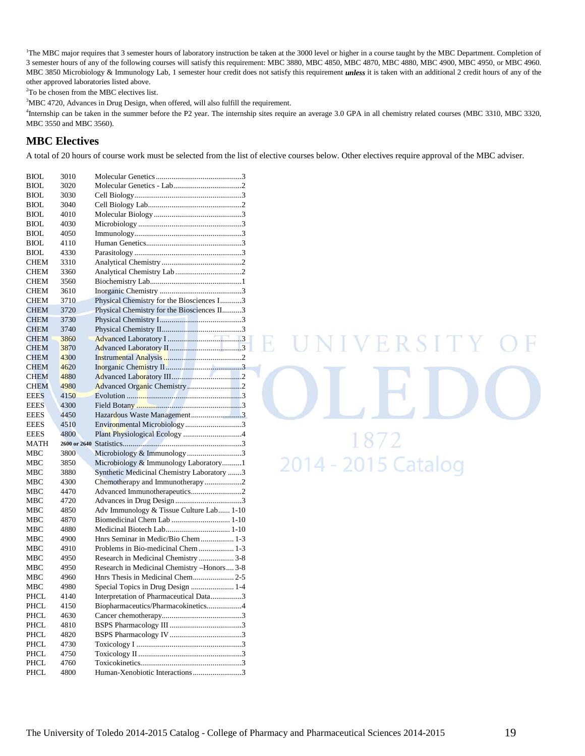<sup>1</sup>The MBC major requires that 3 semester hours of laboratory instruction be taken at the 3000 level or higher in a course taught by the MBC Department. Completion of 3 semester hours of any of the following courses will satisfy this requirement: MBC 3880, MBC 4850, MBC 4870, MBC 4880, MBC 4900, MBC 4950, or MBC 4960. MBC 3850 Microbiology & Immunology Lab, 1 semester hour credit does not satisfy this requirement *unless* it is taken with an additional 2 credit hours of any of the other approved laboratories listed above.

2 To be chosen from the MBC electives list.

<sup>3</sup>MBC 4720, Advances in Drug Design, when offered, will also fulfill the requirement.

<sup>4</sup>Internship can be taken in the summer before the P2 year. The internship sites require an average 3.0 GPA in all chemistry related courses (MBC 3310, MBC 3320, MBC 3550 and MBC 3560).

#### **MBC Electives**

A total of 20 hours of course work must be selected from the list of elective courses below. Other electives require approval of the MBC adviser.

| <b>BIOL</b> | 3010 |                                             |
|-------------|------|---------------------------------------------|
| <b>BIOL</b> | 3020 |                                             |
| <b>BIOL</b> | 3030 |                                             |
| <b>BIOL</b> | 3040 |                                             |
| BIOL        | 4010 |                                             |
| <b>BIOL</b> | 4030 |                                             |
| <b>BIOL</b> | 4050 |                                             |
| BIOL        | 4110 |                                             |
| <b>BIOL</b> | 4330 |                                             |
| <b>CHEM</b> | 3310 |                                             |
| CHEM        | 3360 |                                             |
| <b>CHEM</b> | 3560 |                                             |
| <b>CHEM</b> | 3610 |                                             |
| <b>CHEM</b> | 3710 | Physical Chemistry for the Biosciences I3   |
| <b>CHEM</b> | 3720 | Physical Chemistry for the Biosciences II3  |
| <b>CHEM</b> | 3730 |                                             |
|             |      |                                             |
| CHEM        | 3740 |                                             |
| <b>CHEM</b> | 3860 |                                             |
| <b>CHEM</b> | 3870 |                                             |
| <b>CHEM</b> | 4300 |                                             |
| <b>CHEM</b> | 4620 |                                             |
| <b>CHEM</b> | 4880 |                                             |
| <b>CHEM</b> | 4980 |                                             |
| <b>EEES</b> | 4150 |                                             |
| <b>EEES</b> | 4300 |                                             |
| <b>EEES</b> | 4450 | Hazardous Waste Management3                 |
|             |      |                                             |
| <b>EEES</b> | 4510 | Environmental Microbiology3                 |
| <b>EEES</b> | 4800 |                                             |
| <b>MATH</b> |      | Plant Physiological Ecology 4               |
| MBC         | 3800 |                                             |
| MBC         | 3850 | Microbiology & Immunology3                  |
| мвс         | 3880 | Microbiology & Immunology Laboratory1       |
| MBC         |      | Synthetic Medicinal Chemistry Laboratory 3  |
|             | 4300 | Chemotherapy and Immunotherapy2             |
| <b>MBC</b>  | 4470 | Advanced Immunotherapeutics2                |
| MBC         | 4720 |                                             |
| MBC         | 4850 | Adv Immunology & Tissue Culture Lab 1-10    |
| MBC         | 4870 | Biomedicinal Chem Lab  1-10                 |
| мвс         | 4880 | Medicinal Biotech Lab 1-10                  |
| MBC         | 4900 | Hnrs Seminar in Medic/Bio Chem 1-3          |
| MBC         | 4910 | Problems in Bio-medicinal Chem  1-3         |
| MBC         | 4950 | Research in Medicinal Chemistry  3-8        |
| MBC         | 4950 | Research in Medicinal Chemistry -Honors 3-8 |
| MBC         | 4960 |                                             |
| мвс         | 4980 | Special Topics in Drug Design  1-4          |
| PHCL        | 4140 | Interpretation of Pharmaceutical Data3      |
| PHCL        | 4150 | Biopharmaceutics/Pharmacokinetics4          |
| PHCL        | 4630 |                                             |
| PHCL        | 4810 |                                             |
| PHCL        | 4820 |                                             |
| PHCL        | 4730 |                                             |
| PHCL        | 4750 |                                             |
| PHCL        | 4760 | Human-Xenobiotic Interactions 3             |

E UNIVERSITY 1872<br>2014 - 2015 Catalog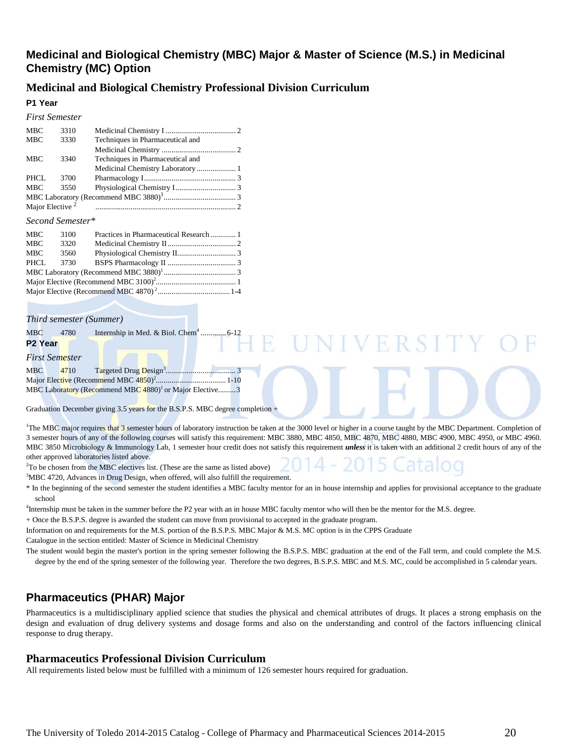## **Medicinal and Biological Chemistry (MBC) Major & Master of Science (M.S.) in Medicinal Chemistry (MC) Option**

### **Medicinal and Biological Chemistry Professional Division Curriculum**

#### **P1 Year** *First Semester*

|                             | <i>First Semester</i> |                                   |  |
|-----------------------------|-----------------------|-----------------------------------|--|
| <b>MBC</b>                  | 3310                  |                                   |  |
| <b>MBC</b>                  | 3330                  | Techniques in Pharmaceutical and  |  |
|                             |                       |                                   |  |
| <b>MBC</b>                  | 3340                  | Techniques in Pharmaceutical and  |  |
|                             |                       | Medicinal Chemistry Laboratory  1 |  |
| PHCL                        | 3700                  |                                   |  |
| <b>MBC</b>                  | 3550                  |                                   |  |
|                             |                       |                                   |  |
| Major Elective <sup>2</sup> |                       |                                   |  |
|                             |                       |                                   |  |

#### *Second Semester\**

| MBC        | 3100 |  |
|------------|------|--|
| <b>MBC</b> | 3320 |  |
| MBC        | 3560 |  |
| PHCL       | 3730 |  |
|            |      |  |
|            |      |  |
|            |      |  |

#### *Third semester (Summer)*

| MBC        | 4780           |                                                                     |  |  |  |
|------------|----------------|---------------------------------------------------------------------|--|--|--|
| P2 Year    |                |                                                                     |  |  |  |
|            | First Semester |                                                                     |  |  |  |
| <b>MBC</b> | 4710           |                                                                     |  |  |  |
|            |                |                                                                     |  |  |  |
|            |                | MBC Laboratory (Recommend MBC 4880) <sup>1</sup> or Major Elective3 |  |  |  |

Graduation December giving 3.5 years for the B.S.P.S. MBC degree completion +

<sup>1</sup>The MBC major requires that 3 semester hours of laboratory instruction be taken at the 3000 level or higher in a course taught by the MBC Department. Completion of 3 semester hours of any of the following courses will satisfy this requirement: MBC 3880, MBC 4850, MBC 4870, MBC 4880, MBC 4900, MBC 4950, or MBC 4960. MBC 3850 Microbiology & Immunology Lab, 1 semester hour credit does not satisfy this requirement *unless* it is taken with an additional 2 credit hours of any of the other approved laboratories listed above.

VERSIT

<sup>2</sup>To be chosen from the MBC electives list. (These are the same as listed above)

<sup>3</sup>MBC 4720, Advances in Drug Design, when offered, will also fulfill the requirement.

\* In the beginning of the second semester the student identifies a MBC faculty mentor for an in house internship and applies for provisional acceptance to the graduate school

<sup>4</sup>Internship must be taken in the summer before the P2 year with an in house MBC faculty mentor who will then be the mentor for the M.S. degree.

+ Once the B.S.P.S. degree is awarded the student can move from provisional to accepted in the graduate program.

Information on and requirements for the M.S. portion of the B.S.P.S. MBC Major & M.S. MC option is in the CPPS Graduate

Catalogue in the section entitled: Master of Science in Medicinal Chemistry

The student would begin the master's portion in the spring semester following the B.S.P.S. MBC graduation at the end of the Fall term, and could complete the M.S. degree by the end of the spring semester of the following year. Therefore the two degrees, B.S.P.S. MBC and M.S. MC, could be accomplished in 5 calendar years.

## **Pharmaceutics (PHAR) Major**

Pharmaceutics is a multidisciplinary applied science that studies the physical and chemical attributes of drugs. It places a strong emphasis on the design and evaluation of drug delivery systems and dosage forms and also on the understanding and control of the factors influencing clinical response to drug therapy.

#### **Pharmaceutics Professional Division Curriculum**

All requirements listed below must be fulfilled with a minimum of 126 semester hours required for graduation.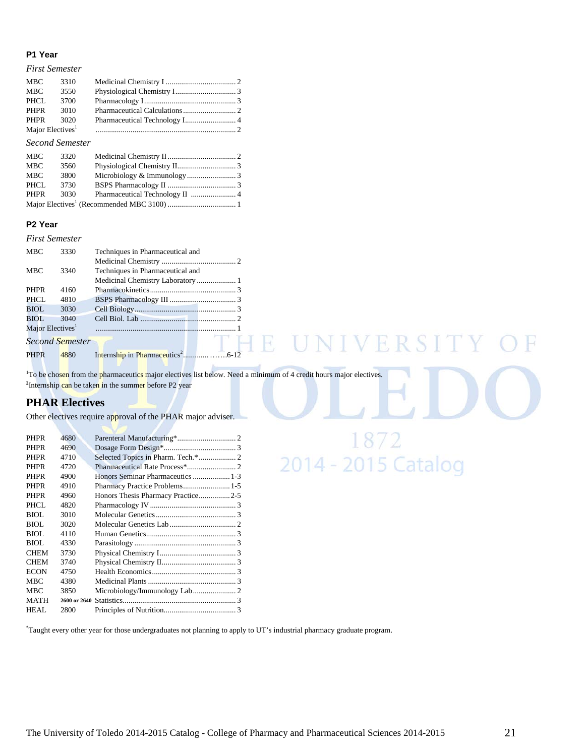#### **P1 Year**

#### *First Semester*

#### *Second Semester*

| MBC        | 3320 |  |
|------------|------|--|
| MBC        | 3560 |  |
| <b>MBC</b> | 3800 |  |
| PHCL       | 3730 |  |
| PHPR       | 3030 |  |
|            |      |  |

#### **P2 Year**

#### *First Semester*

| <b>MBC</b>                   | 3330            | Techniques in Pharmaceutical and |  |
|------------------------------|-----------------|----------------------------------|--|
|                              |                 |                                  |  |
| <b>MBC</b>                   | 3340            | Techniques in Pharmaceutical and |  |
|                              |                 |                                  |  |
| <b>PHPR</b>                  | 4160            |                                  |  |
| PHCL.                        | 4810            |                                  |  |
| BIOL.                        | 3030            |                                  |  |
| BIOL                         | 3040            |                                  |  |
| Major Electives <sup>1</sup> |                 |                                  |  |
|                              | Second Semester |                                  |  |
| <b>PHPR</b>                  | 4880            |                                  |  |

<sup>1</sup>To be chosen from the pharmaceutics major electives list below. Need a minimum of 4 credit hours major electives. <sup>2</sup>Internship can be taken in the summer before P2 year

R

## **PHAR Electives**

Other electives require approval of the PHAR major adviser.

| 4680         |                                    |  |
|--------------|------------------------------------|--|
| 4690         |                                    |  |
| 4710         |                                    |  |
| 4720         |                                    |  |
| 4900         |                                    |  |
| 4910         |                                    |  |
| 4960         | Honors Thesis Pharmacy Practice2-5 |  |
| 4820         |                                    |  |
| 3010         |                                    |  |
| 3020         |                                    |  |
| 4110         |                                    |  |
| 4330         |                                    |  |
| 3730         |                                    |  |
| 3740         |                                    |  |
| 4750         |                                    |  |
| 4380         |                                    |  |
| 3850         |                                    |  |
| 2600 or 2640 |                                    |  |
| 2800         |                                    |  |
|              |                                    |  |

\* Taught every other year for those undergraduates not planning to apply to UT's industrial pharmacy graduate program.

 $SITY$ 

V R

1872<br>2014 - 2015 Catalog

 $\mathbb{R}$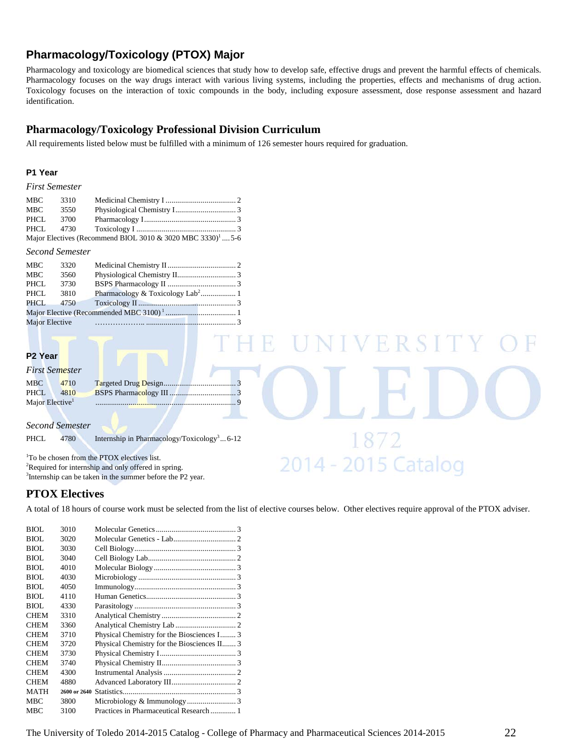## **Pharmacology/Toxicology (PTOX) Major**

Pharmacology and toxicology are biomedical sciences that study how to develop safe, effective drugs and prevent the harmful effects of chemicals. Pharmacology focuses on the way drugs interact with various living systems, including the properties, effects and mechanisms of drug action. Toxicology focuses on the interaction of toxic compounds in the body, including exposure assessment, dose response assessment and hazard identification.

## **Pharmacology/Toxicology Professional Division Curriculum**

All requirements listed below must be fulfilled with a minimum of 126 semester hours required for graduation.

#### **P1 Year**

#### *First Semester*

| MBC   | 3310      |                                                                        |  |
|-------|-----------|------------------------------------------------------------------------|--|
| MBC   | 3550      |                                                                        |  |
| PHCL. | 3700      |                                                                        |  |
|       | PHCL 4730 |                                                                        |  |
|       |           | Major Electives (Recommend BIOL 3010 & 3020 MBC 3330) <sup>1</sup> 5-6 |  |

#### *Second Semester*

| MBC                   | 3320 |                                              |  |
|-----------------------|------|----------------------------------------------|--|
| MBC                   | 3560 |                                              |  |
| PHCL                  | 3730 |                                              |  |
| PHCL                  | 3810 | Pharmacology & Toxicology Lab <sup>2</sup> 1 |  |
| PHCL                  | 4750 |                                              |  |
|                       |      |                                              |  |
| <b>Major Elective</b> |      |                                              |  |
|                       |      |                                              |  |

#### **P2 Year**

#### *First Semester*

| <b>MBC</b>                  | 4710 |  |
|-----------------------------|------|--|
| PHCL.                       | 4810 |  |
| Major Elective <sup>1</sup> |      |  |

#### *Second Semester*

PHCL 4780 Internship in Pharmacology/Toxicology<sup>3</sup>... 6-12

1 To be chosen from the PTOX electives list. <sup>2</sup>Required for internship and only offered in spring. <sup>3</sup>Internship can be taken in the summer before the P2 year.

## **PTOX Electives**

A total of 18 hours of course work must be selected from the list of elective courses below. Other electives require approval of the PTOX adviser.

H

2014 - 2015 Catalog

| BIOL        | 3010         |                                             |  |
|-------------|--------------|---------------------------------------------|--|
| <b>BIOL</b> | 3020         |                                             |  |
| BIOL        | 3030         |                                             |  |
| <b>BIOL</b> | 3040         |                                             |  |
| BIOL        | 4010         |                                             |  |
| BIOL        | 4030         |                                             |  |
| BIOL        | 4050         |                                             |  |
| BIOL        | 4110         |                                             |  |
| BIOL        | 4330         |                                             |  |
| <b>CHEM</b> | 3310         |                                             |  |
| <b>CHEM</b> | 3360         |                                             |  |
| <b>CHEM</b> | 3710         | Physical Chemistry for the Biosciences I 3  |  |
| <b>CHEM</b> | 3720         | Physical Chemistry for the Biosciences II 3 |  |
| <b>CHEM</b> | 3730         |                                             |  |
| <b>CHEM</b> | 3740         |                                             |  |
| <b>CHEM</b> | 4300         |                                             |  |
| <b>CHEM</b> | 4880         |                                             |  |
| <b>MATH</b> | 2600 or 2640 |                                             |  |
| <b>MBC</b>  | 3800         |                                             |  |
| <b>MBC</b>  | 3100         | Practices in Pharmaceutical Research  1     |  |
|             |              |                                             |  |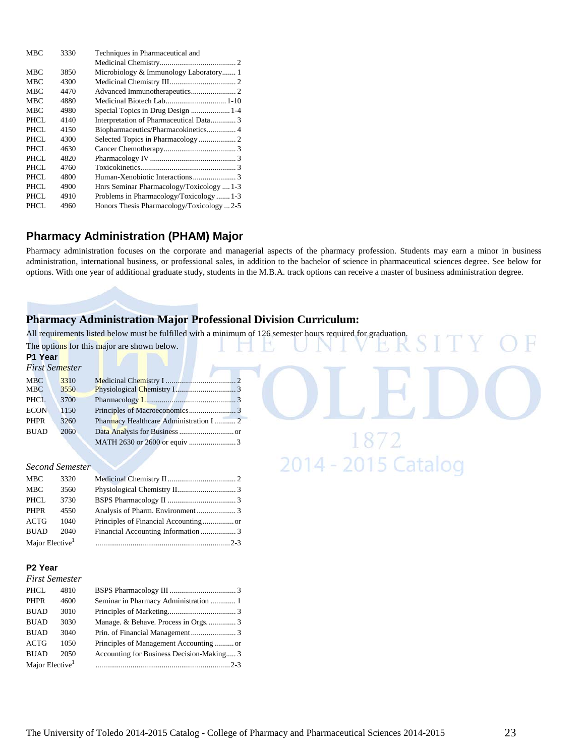| <b>MBC</b>  | 3330 | Techniques in Pharmaceutical and          |
|-------------|------|-------------------------------------------|
|             |      |                                           |
| <b>MBC</b>  | 3850 | Microbiology & Immunology Laboratory 1    |
| <b>MBC</b>  | 4300 |                                           |
| <b>MBC</b>  | 4470 |                                           |
| <b>MBC</b>  | 4880 | Medicinal Biotech Lab 1-10                |
| <b>MBC</b>  | 4980 |                                           |
| PHCL        | 4140 | Interpretation of Pharmaceutical Data 3   |
| <b>PHCL</b> | 4150 | Biopharmaceutics/Pharmacokinetics 4       |
| PHCL.       | 4300 |                                           |
| PHCL        | 4630 |                                           |
| PHCL        | 4820 |                                           |
| PHCL.       | 4760 |                                           |
| <b>PHCL</b> | 4800 |                                           |
| PHCL        | 4900 | Hnrs Seminar Pharmacology/Toxicology  1-3 |
| PHCL        | 4910 | Problems in Pharmacology/Toxicology  1-3  |
| PHCL        | 4960 | Honors Thesis Pharmacology/Toxicology2-5  |

## **Pharmacy Administration (PHAM) Major**

Pharmacy administration focuses on the corporate and managerial aspects of the pharmacy profession. Students may earn a minor in business administration, international business, or professional sales, in addition to the bachelor of science in pharmaceutical sciences degree. See below for options. With one year of additional graduate study, students in the M.B.A. track options can receive a master of business administration degree.

# **Pharmacy Administration Major Professional Division Curriculum:**

All requirements listed below must be fulfilled with a minimum of 126 semester hours required for graduation.

|                                                                       |                                      | The options for this major are shown below. |
|-----------------------------------------------------------------------|--------------------------------------|---------------------------------------------|
| P1 Year                                                               |                                      |                                             |
| First Semester                                                        |                                      |                                             |
| <b>MBC</b><br><b>MBC</b><br><b>PHCL</b><br><b>ECON</b><br><b>PHPR</b> | 3310<br>3550<br>3700<br>1150<br>3260 | Pharmacy Healthcare Administration I  2     |
| <b>BUAD</b>                                                           | 2060                                 |                                             |
|                                                                       |                                      |                                             |
|                                                                       | Second Semester                      | 2014 - 2015 Catalog                         |
| MBC                                                                   | 3320                                 |                                             |
| <b>MBC</b>                                                            | 3560                                 |                                             |
| PHCL                                                                  | 3730                                 |                                             |
| <b>PHPR</b>                                                           | 4550                                 |                                             |
| <b>ACTG</b>                                                           | 1040                                 |                                             |
| <b>BUAD</b>                                                           | 2040                                 |                                             |
| Major Elective <sup>1</sup>                                           |                                      | $2 - 3$                                     |
| P <sub>2</sub> Year                                                   |                                      |                                             |

## *First Semester*

| <b>PHCL</b>                 | 4810 |                                           |  |
|-----------------------------|------|-------------------------------------------|--|
| <b>PHPR</b>                 | 4600 | Seminar in Pharmacy Administration  1     |  |
| <b>BUAD</b>                 | 3010 |                                           |  |
| <b>BUAD</b>                 | 3030 |                                           |  |
| <b>BUAD</b>                 | 3040 |                                           |  |
| <b>ACTG</b>                 | 1050 |                                           |  |
| <b>BUAD</b>                 | 2050 | Accounting for Business Decision-Making 3 |  |
| Major Elective <sup>1</sup> |      |                                           |  |

 $CITV$   $\cap$   $D$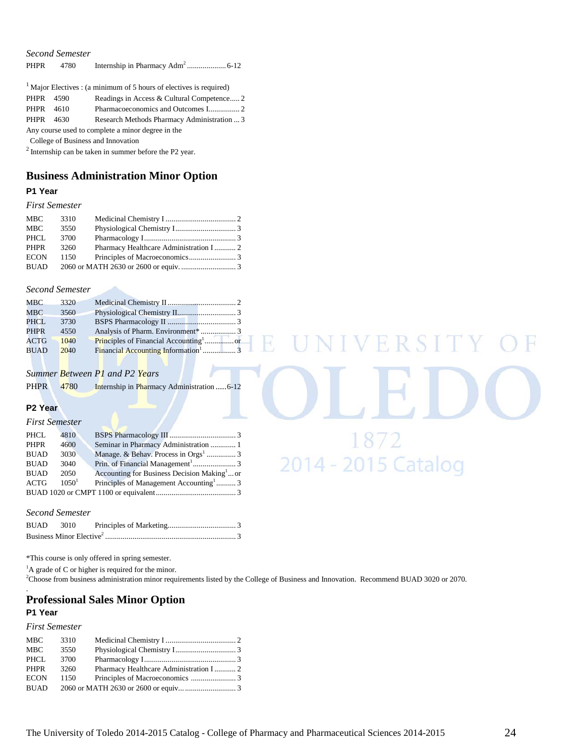| <b>PHPR</b> | 4780 |                                                                       |  |
|-------------|------|-----------------------------------------------------------------------|--|
|             |      | $1$ Major Electives : (a minimum of 5 hours of electives is required) |  |
| PHPR 4590   |      | Readings in Access & Cultural Competence 2                            |  |
| PHPR 4610   |      |                                                                       |  |
| PHPR        | 4630 | Research Methods Pharmacy Administration  3                           |  |
|             |      | Any course used to complete a minor degree in the                     |  |

College of Business and Innovation

2 Internship can be taken in summer before the P2 year.

# **Business Administration Minor Option**

#### **P1 Year**

#### *First Semester*

| MBC         | 3310 |                                        |  |
|-------------|------|----------------------------------------|--|
| MBC         | 3550 |                                        |  |
| PHCL        | 3700 |                                        |  |
| PHPR        | 3260 | Pharmacy Healthcare Administration I 2 |  |
| <b>ECON</b> | 1150 |                                        |  |
| <b>BUAD</b> |      |                                        |  |

#### *Second Semester*

| MBC         | 3320 |  |
|-------------|------|--|
| MBC         | 3560 |  |
| PHCL        | 3730 |  |
| <b>PHPR</b> | 4550 |  |
| <b>ACTG</b> | 1040 |  |
| <b>BUAD</b> | 2040 |  |

#### *Summer Between P1 and P2 Years*

PHPR 4780 Internship in Pharmacy Administration ..... 6-12

#### **P2 Year**

#### *First Semester*

| PHCL        | 4810              |                                                         |  |
|-------------|-------------------|---------------------------------------------------------|--|
| <b>PHPR</b> | 4600              | Seminar in Pharmacy Administration  1                   |  |
| <b>BUAD</b> | 3030              |                                                         |  |
| <b>BUAD</b> | 3040              |                                                         |  |
| <b>BUAD</b> | 2050              | Accounting for Business Decision Making <sup>1</sup> or |  |
| <b>ACTG</b> | 1050 <sup>1</sup> | Principles of Management Accounting <sup>1</sup> 3      |  |
|             |                   |                                                         |  |

# 1872 2014 - 2015 Catalog

**IVERSI** 

#### *Second Semester*

| <b>BUAD</b> 3010 |  |  |
|------------------|--|--|
|                  |  |  |

\*This course is only offered in spring semester.

<sup>1</sup>A grade of C or higher is required for the minor.

2 Choose from business administration minor requirements listed by the College of Business and Innovation. Recommend BUAD 3020 or 2070.

R

#### **Professional Sales Minor Option P1 Year**

#### *First Semester*

.

| MBC         | 3310 |                                        |  |
|-------------|------|----------------------------------------|--|
| MBC         | 3550 |                                        |  |
| PHCL.       | 3700 |                                        |  |
| <b>PHPR</b> | 3260 | Pharmacy Healthcare Administration I 2 |  |
| <b>ECON</b> | 1150 |                                        |  |
| <b>BUAD</b> |      |                                        |  |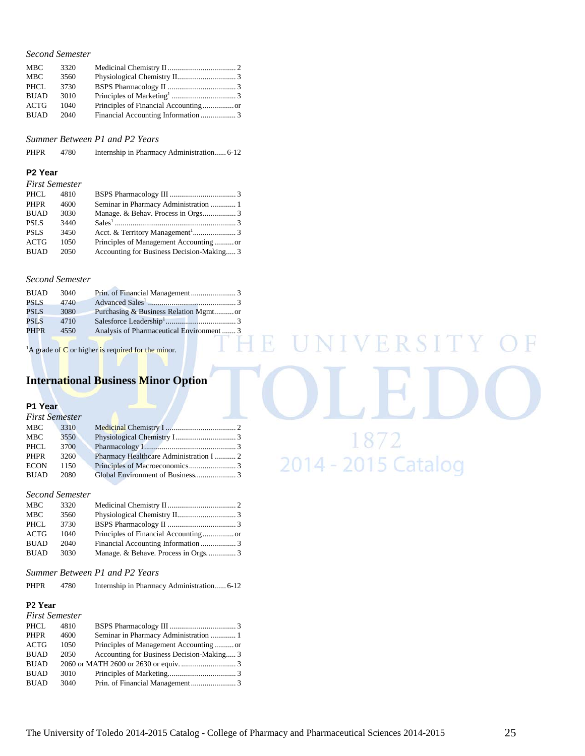| <b>MBC</b>  | 3320 |  |
|-------------|------|--|
| <b>MBC</b>  | 3560 |  |
| PHCL        | 3730 |  |
| <b>BUAD</b> | 3010 |  |
| ACTG        | 1040 |  |
| <b>BUAD</b> | 2040 |  |

*Summer Between P1 and P2 Years*

PHPR 4780 Internship in Pharmacy Administration...... 6-12

#### **P2 Year**

| <b>First Semester</b> |
|-----------------------|
|                       |

| PHCL        | 4810 |                                           |  |
|-------------|------|-------------------------------------------|--|
| <b>PHPR</b> | 4600 | Seminar in Pharmacy Administration  1     |  |
| <b>BUAD</b> | 3030 |                                           |  |
| <b>PSLS</b> | 3440 |                                           |  |
| <b>PSLS</b> | 3450 |                                           |  |
| <b>ACTG</b> | 1050 | Principles of Management Accountingor     |  |
| <b>BUAD</b> | 2050 | Accounting for Business Decision-Making 3 |  |

#### *Second Semester*

| <b>BUAD</b> | 3040 |                                          |  |
|-------------|------|------------------------------------------|--|
| <b>PSLS</b> | 4740 |                                          |  |
| PSL S       | 3080 |                                          |  |
| <b>PSLS</b> | 4710 |                                          |  |
| <b>PHPR</b> | 4550 | Analysis of Pharmaceutical Environment 3 |  |
|             |      |                                          |  |

<sup>1</sup>A grade of  $C$  or higher is required for the minor.

## **International Business Minor Option**

#### **P1 Year**

|             | <b>First Semester</b> |                                         |  |
|-------------|-----------------------|-----------------------------------------|--|
| MBC         | 3310                  |                                         |  |
| MBC         | 3550                  |                                         |  |
| PHCL        | 3700                  |                                         |  |
| PHPR        | 3260                  | Pharmacy Healthcare Administration I  2 |  |
| <b>ECON</b> | 1150                  |                                         |  |
| <b>BUAD</b> | 2080                  |                                         |  |

#### *Second Semester*

| <b>MBC</b>  | 3320 |  |
|-------------|------|--|
| <b>MBC</b>  | 3560 |  |
| PHCL        | 3730 |  |
| <b>ACTG</b> | 1040 |  |
| <b>BUAD</b> | 2040 |  |
| <b>BUAD</b> | 3030 |  |
|             |      |  |

#### *Summer Between P1 and P2 Years*

| <b>PHPR</b><br>4780 | Internship in Pharmacy Administration 6-12 |  |
|---------------------|--------------------------------------------|--|
|---------------------|--------------------------------------------|--|

#### **P2 Year**

| <b>First Semester</b> |      |                                           |  |
|-----------------------|------|-------------------------------------------|--|
| PHCL                  | 4810 |                                           |  |
| PHPR                  | 4600 | Seminar in Pharmacy Administration  1     |  |
| ACTG                  | 1050 | Principles of Management Accountingor     |  |
| <b>BUAD</b>           | 2050 | Accounting for Business Decision-Making 3 |  |
| <b>BUAD</b>           |      |                                           |  |
| <b>BUAD</b>           | 3010 |                                           |  |
| <b>BUAD</b>           | 3040 |                                           |  |

E R S I 4 18/2 2014 - 2015 Catalog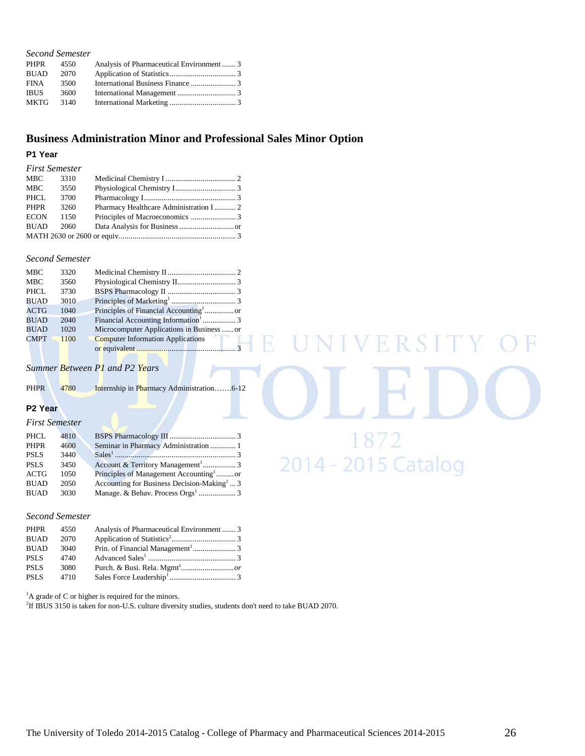| 4550 |                                           |
|------|-------------------------------------------|
| 2070 |                                           |
| 3500 |                                           |
| 3600 |                                           |
| 3140 |                                           |
|      | Analysis of Pharmaceutical Environment  3 |

## **Business Administration Minor and Professional Sales Minor Option**

#### **P1 Year**

| Pharmacy Healthcare Administration I  2 |
|-----------------------------------------|

#### *Second Semester*

| <b>MBC</b>  | 3320 |                                                 |  |
|-------------|------|-------------------------------------------------|--|
| <b>MBC</b>  | 3560 |                                                 |  |
| PHCL        | 3730 |                                                 |  |
| <b>BUAD</b> | 3010 |                                                 |  |
| <b>ACTG</b> | 1040 |                                                 |  |
| <b>BUAD</b> | 2040 | Financial Accounting Information <sup>1</sup> 3 |  |
| <b>BUAD</b> | 1020 | Microcomputer Applications in Business  or      |  |
| <b>CMPT</b> | 1100 | <b>Computer Information Applications</b>        |  |
|             |      |                                                 |  |

*Summer Between P1 and P2 Years*

| <b>PHPR</b> | 4780 |  |
|-------------|------|--|
|             |      |  |

#### **P2 Year**

#### *First Semester*

| PHCL        | 4810 |                                                        |  |
|-------------|------|--------------------------------------------------------|--|
| <b>PHPR</b> | 4600 | Seminar in Pharmacy Administration  1                  |  |
| <b>PSLS</b> | 3440 |                                                        |  |
| <b>PSLS</b> | 3450 |                                                        |  |
| <b>ACTG</b> | 1050 | Principles of Management Accounting <sup>1</sup> or    |  |
| <b>BUAD</b> | 2050 | Accounting for Business Decision-Making <sup>1</sup> 3 |  |
| <b>BUAD</b> | 3030 |                                                        |  |
|             |      |                                                        |  |

#### *Second Semester*

| PHPR        | 4550 | Analysis of Pharmaceutical Environment3 |  |
|-------------|------|-----------------------------------------|--|
| <b>BUAD</b> | 2070 |                                         |  |
| <b>BUAD</b> | 3040 |                                         |  |
| <b>PSLS</b> | 4740 |                                         |  |
| <b>PSLS</b> | 3080 |                                         |  |
| <b>PSLS</b> | 4710 |                                         |  |

<sup>1</sup>A grade of C or higher is required for the minors.

2 If IBUS 3150 is taken for non-U.S. culture diversity studies, students don't need to take BUAD 2070.

4

**IVERSIT** 

1872

2014 - 2015 Catalog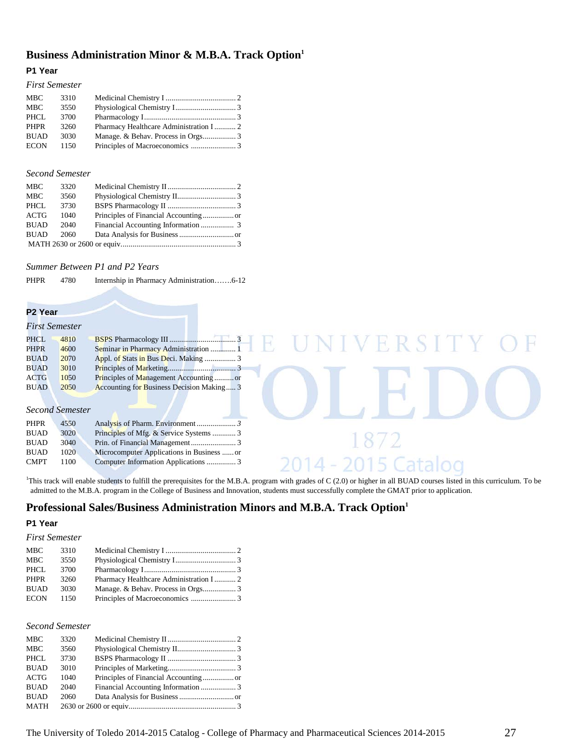## **Business Administration Minor & M.B.A. Track Option1**

#### **P1 Year**

#### *First Semester*

| <b>MBC</b>  | 3310 |                                         |  |
|-------------|------|-----------------------------------------|--|
| <b>MBC</b>  | 3550 |                                         |  |
| PHCL        | 3700 |                                         |  |
| <b>PHPR</b> | 3260 | Pharmacy Healthcare Administration I  2 |  |
| <b>BUAD</b> | 3030 |                                         |  |
| <b>ECON</b> | 1150 |                                         |  |
|             |      |                                         |  |

#### *Second Semester*

| <b>MBC</b>  | 3320 |  |
|-------------|------|--|
| <b>MBC</b>  | 3560 |  |
| <b>PHCL</b> | 3730 |  |
| <b>ACTG</b> | 1040 |  |
| <b>BUAD</b> | 2040 |  |
| <b>BUAD</b> | 2060 |  |
|             |      |  |

*Summer Between P1 and P2 Years*

PHPR 4780 Internship in Pharmacy Administration…….6-12

#### **P2 Year**

| NIVERSITY O |
|-------------|
|             |
|             |
|             |
|             |
|             |
|             |
|             |
|             |
|             |
|             |
|             |
|             |
|             |

<sup>1</sup>This track will enable students to fulfill the prerequisites for the M.B.A. program with grades of C (2.0) or higher in all BUAD courses listed in this curriculum. To be admitted to the M.B.A. program in the College of Business and Innovation, students must successfully complete the GMAT prior to application.

## **Professional Sales/Business Administration Minors and M.B.A. Track Option1**

#### **P1 Year**

#### *First Semester*

| <b>MBC</b>  | 3310 |  |
|-------------|------|--|
| <b>MBC</b>  | 3550 |  |
| <b>PHCL</b> | 3700 |  |
| <b>PHPR</b> | 3260 |  |
| <b>BUAD</b> | 3030 |  |
| <b>ECON</b> | 1150 |  |

#### *Second Semester*

| <b>MBC</b>  | 3320 |  |
|-------------|------|--|
| MBC         | 3560 |  |
| PHCL        | 3730 |  |
| <b>BUAD</b> | 3010 |  |
| ACTG        | 1040 |  |
| <b>BUAD</b> | 2040 |  |
| <b>BUAD</b> | 2060 |  |
| MATH        |      |  |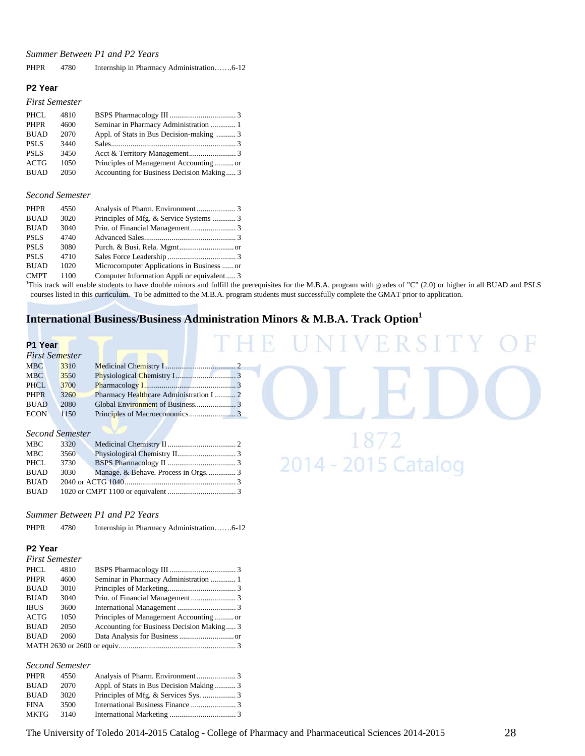#### *Summer Between P1 and P2 Years*

| <b>PHPR</b> | 4780 | Internship in Pharmacy Administration6-12 |  |
|-------------|------|-------------------------------------------|--|
|-------------|------|-------------------------------------------|--|

#### **P2 Year**

#### *First Semester*

| PHCL        | 4810 |                                           |  |
|-------------|------|-------------------------------------------|--|
| <b>PHPR</b> | 4600 | Seminar in Pharmacy Administration  1     |  |
| <b>BUAD</b> | 2070 | Appl. of Stats in Bus Decision-making  3  |  |
| <b>PSLS</b> | 3440 |                                           |  |
| <b>PSLS</b> | 3450 |                                           |  |
| ACTG        | 1050 | Principles of Management Accountingor     |  |
| <b>BUAD</b> | 2050 | Accounting for Business Decision Making 3 |  |

#### *Second Semester*

| <b>PHPR</b> | 4550 |                                            |  |
|-------------|------|--------------------------------------------|--|
| <b>BUAD</b> | 3020 | Principles of Mfg. & Service Systems  3    |  |
| <b>BUAD</b> | 3040 |                                            |  |
| <b>PSLS</b> | 4740 |                                            |  |
| <b>PSLS</b> | 3080 |                                            |  |
| <b>PSLS</b> | 4710 |                                            |  |
| <b>BUAD</b> | 1020 | Microcomputer Applications in Business  or |  |
| <b>CMPT</b> | 1100 | Computer Information Appli or equivalent 3 |  |
|             |      |                                            |  |

CMPT 1100 Computer Information Appli or equivalent..... 3<br><sup>1</sup>This track will enable students to have double minors and fulfill the prerequisites for the M.B.A. program with grades of "C" (2.0) or higher in all BUAD and PSL courses listed in this curriculum. To be admitted to the M.B.A. program students must successfully complete the GMAT prior to application.

18/2<br>2014 - 2015 Catalog

## **International Business/Business Administration Minors & M.B.A. Track Option1**

## **P1 Year**

| First Semester |      |                                         |  |
|----------------|------|-----------------------------------------|--|
| <b>MBC</b>     | 3310 |                                         |  |
| <b>MBC</b>     | 3550 |                                         |  |
| <b>PHCL</b>    | 3700 |                                         |  |
| <b>PHPR</b>    | 3260 | Pharmacy Healthcare Administration I  2 |  |
| <b>BUAD</b>    | 2080 |                                         |  |
| <b>ECON</b>    | 1150 |                                         |  |

## *Second Semester*

| MBC         | 3320 |  |
|-------------|------|--|
| MBC         | 3560 |  |
| PHCL        | 3730 |  |
| <b>BUAD</b> | 3030 |  |
| <b>BUAD</b> |      |  |
| BUAD        |      |  |
|             |      |  |

#### *Summer Between P1 and P2 Years*

PHPR 4780 Internship in Pharmacy Administration…….6-12

#### **P2 Year**

|  | <b>First Semester</b> |
|--|-----------------------|
|--|-----------------------|

| 4810 |                                           |  |
|------|-------------------------------------------|--|
| 4600 |                                           |  |
| 3010 |                                           |  |
| 3040 |                                           |  |
| 3600 |                                           |  |
| 1050 | Principles of Management Accountingor     |  |
| 2050 | Accounting for Business Decision Making 3 |  |
| 2060 |                                           |  |
|      |                                           |  |
|      |                                           |  |

#### *Second Semester*

| PHPR        | 4550 |                                         |  |
|-------------|------|-----------------------------------------|--|
| <b>BUAD</b> | 2070 | Appl. of Stats in Bus Decision Making 3 |  |
| <b>BUAD</b> | 3020 |                                         |  |
| <b>FINA</b> | 3500 |                                         |  |
| <b>MKTG</b> | 3140 |                                         |  |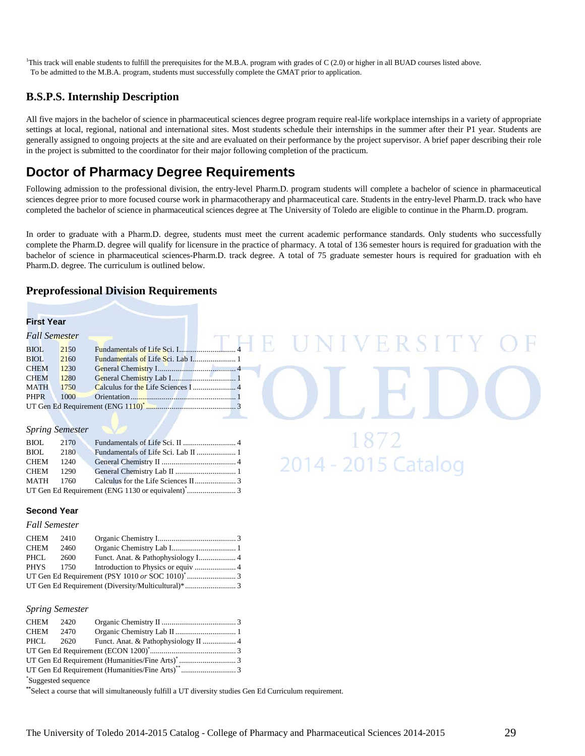<sup>1</sup>This track will enable students to fulfill the prerequisites for the M.B.A. program with grades of C (2.0) or higher in all BUAD courses listed above. To be admitted to the M.B.A. program, students must successfully complete the GMAT prior to application.

## **B.S.P.S. Internship Description**

All five majors in the bachelor of science in pharmaceutical sciences degree program require real-life workplace internships in a variety of appropriate settings at local, regional, national and international sites. Most students schedule their internships in the summer after their P1 year. Students are generally assigned to ongoing projects at the site and are evaluated on their performance by the project supervisor. A brief paper describing their role in the project is submitted to the coordinator for their major following completion of the practicum.

# **Doctor of Pharmacy Degree Requirements**

Following admission to the professional division, the entry-level Pharm.D. program students will complete a bachelor of science in pharmaceutical sciences degree prior to more focused course work in pharmacotherapy and pharmaceutical care. Students in the entry-level Pharm.D. track who have completed the bachelor of science in pharmaceutical sciences degree at The University of Toledo are eligible to continue in the Pharm.D. program.

In order to graduate with a Pharm.D. degree, students must meet the current academic performance standards. Only students who successfully complete the Pharm.D. degree will qualify for licensure in the practice of pharmacy. A total of 136 semester hours is required for graduation with the bachelor of science in pharmaceutical sciences-Pharm.D. track degree. A total of 75 graduate semester hours is required for graduation with eh Pharm.D. degree. The curriculum is outlined below.

ERSI

2014 - 2015 Catalog

#### **Preprofessional Division Requirements**

#### **First Year**

| Fall Semester |      |  |
|---------------|------|--|
| <b>BIOL</b>   | 2150 |  |
| <b>BIOL</b>   | 2160 |  |
| <b>CHEM</b>   | 1230 |  |
| <b>CHEM</b>   | 1280 |  |
| <b>MATH</b>   | 1750 |  |
| <b>PHPR</b>   | 1000 |  |
|               |      |  |
|               |      |  |

#### *Spring Semester*

#### **Second Year**

#### *Fall Semester*

| CHEM 2410   |       |  |
|-------------|-------|--|
| CHEM        | 2460  |  |
| PHCL        | -2600 |  |
| <b>PHYS</b> | 1750  |  |
|             |       |  |
|             |       |  |

#### *Spring Semester*

| CHEM 2420           |  |  |  |
|---------------------|--|--|--|
| CHEM 2470           |  |  |  |
| PHCL 2620           |  |  |  |
|                     |  |  |  |
|                     |  |  |  |
|                     |  |  |  |
| *Suggested sequence |  |  |  |

**\*\***Select a course that will simultaneously fulfill a UT diversity studies Gen Ed Curriculum requirement.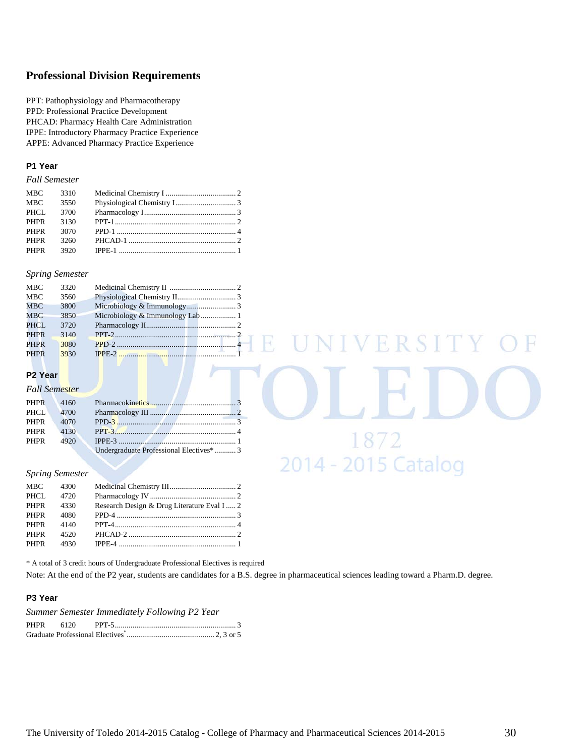## **Professional Division Requirements**

PPT: Pathophysiology and Pharmacotherapy PPD: Professional Practice Development PHCAD: Pharmacy Health Care Administration IPPE: Introductory Pharmacy Practice Experience APPE: Advanced Pharmacy Practice Experience

#### **P1 Year**

*Fall Semester*

| <b>MBC</b> | 3310 |  |
|------------|------|--|
| <b>MBC</b> | 3550 |  |
| PHCL       | 3700 |  |
| PHPR       | 3130 |  |
| PHPR       | 3070 |  |
| PHPR       | 3260 |  |
| PHPR       | 3920 |  |
|            |      |  |

#### *Spring Semester*

| <b>MBC</b>  | 3320 |                                  |
|-------------|------|----------------------------------|
| <b>MBC</b>  | 3560 |                                  |
| <b>MBC</b>  | 3800 |                                  |
| <b>MBC</b>  | 3850 | Microbiology & Immunology Lab  1 |
| PHCL.       | 3720 |                                  |
| <b>PHPR</b> | 3140 | $PPT-2$                          |
| <b>PHPR</b> | 3080 | PPD-2 $\cdots$                   |
| <b>PHPR</b> | 3930 |                                  |

#### **P2 Year**

#### *Fall Semester* PHPR 4160 Pharmacokinetics............................................ 3 PHCL 4700 Pharmacology III ............................................ 2 PHPR 4070 PPD-3 ............................................................. 3 PHPR 4130 PPT-3.............................................................. 4 PHPR 4920 IPPE-3 ............................................................ 1 Undergraduate Professional Electives\*........... 3

#### *Spring Semester*

| PHCL 4720                                                |  |
|----------------------------------------------------------|--|
| PHPR 4330<br>Research Design & Drug Literature Eval I  2 |  |
| PHPR 4080                                                |  |
| PHPR 4140                                                |  |
| PHPR 4520                                                |  |
|                                                          |  |

\* A total of 3 credit hours of Undergraduate Professional Electives is required

Note: At the end of the P2 year, students are candidates for a B.S. degree in pharmaceutical sciences leading toward a Pharm.D. degree.

R

NIVERSITY

1872

2014 - 2015 Catalog

#### **P3 Year**

*Summer Semester Immediately Following P2 Year*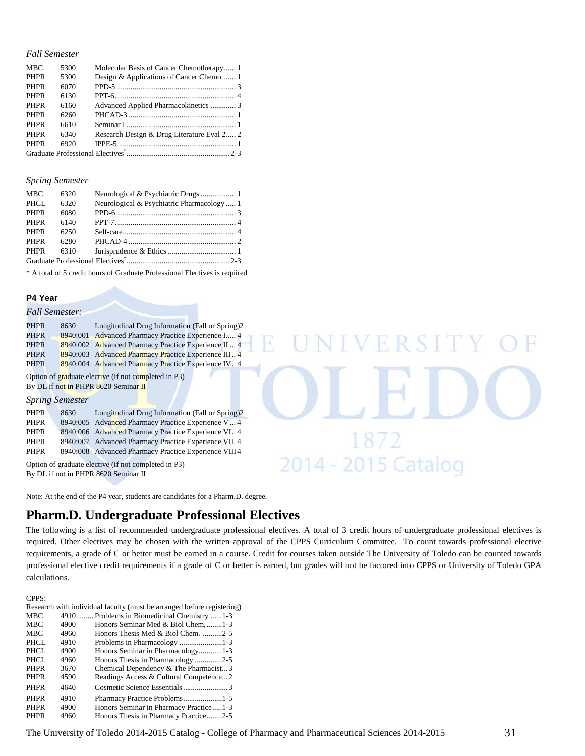#### *Fall Semester*

| <b>MBC</b>  | 5300 | Molecular Basis of Cancer Chemotherapy 1   |  |
|-------------|------|--------------------------------------------|--|
| <b>PHPR</b> | 5300 | Design & Applications of Cancer Chemo 1    |  |
| <b>PHPR</b> | 6070 |                                            |  |
| <b>PHPR</b> | 6130 |                                            |  |
| <b>PHPR</b> | 6160 | Advanced Applied Pharmacokinetics  3       |  |
| <b>PHPR</b> | 6260 |                                            |  |
| <b>PHPR</b> | 6610 |                                            |  |
| <b>PHPR</b> | 6340 | Research Design & Drug Literature Eval 2 2 |  |
| <b>PHPR</b> | 6920 |                                            |  |
|             |      |                                            |  |

#### *Spring Semester*

| Neurological & Psychiatric Pharmacology  1 |  |  |  |
|--------------------------------------------|--|--|--|
|                                            |  |  |  |
|                                            |  |  |  |
|                                            |  |  |  |
|                                            |  |  |  |
|                                            |  |  |  |
|                                            |  |  |  |
|                                            |  |  |  |

\* A total of 5 credit hours of Graduate Professional Electives is required

#### **P4 Year**

#### *Fall Semester:*

| <b>PHPR</b>                                          | 8630 | Longitudinal Drug Information (Fall or Spring)2      |  |
|------------------------------------------------------|------|------------------------------------------------------|--|
| <b>PHPR</b>                                          |      | 8940:001 Advanced Pharmacy Practice Experience I 4   |  |
| <b>PHPR</b>                                          |      | 8940:002 Advanced Pharmacy Practice Experience II  4 |  |
| <b>PHPR</b>                                          |      | 8940:003 Advanced Pharmacy Practice Experience III 4 |  |
| <b>PHPR</b>                                          |      | 8940:004 Advanced Pharmacy Practice Experience IV 4  |  |
| Option of graduate elective (if not completed in P3) |      |                                                      |  |

By DL if not in PHPR 8620 Seminar II

#### *Spring Semester*

| 8630 | Longitudinal Drug Information (Fall or Spring)2 |                                                                                                                                                                                                                             |
|------|-------------------------------------------------|-----------------------------------------------------------------------------------------------------------------------------------------------------------------------------------------------------------------------------|
|      |                                                 |                                                                                                                                                                                                                             |
|      |                                                 |                                                                                                                                                                                                                             |
|      |                                                 |                                                                                                                                                                                                                             |
|      |                                                 |                                                                                                                                                                                                                             |
|      |                                                 | 8940:005 Advanced Pharmacy Practice Experience V 4<br>8940:006 Advanced Pharmacy Practice Experience VI 4<br>8940:007 Advanced Pharmacy Practice Experience VII. 4<br>8940:008 Advanced Pharmacy Practice Experience VIII 4 |

Option of graduate elective (if not completed in P3) By DL if not in PHPR 8620 Seminar II

Note: At the end of the P4 year, students are candidates for a Pharm.D. degree.

## **Pharm.D. Undergraduate Professional Electives**

The following is a list of recommended undergraduate professional electives. A total of 3 credit hours of undergraduate professional electives is required. Other electives may be chosen with the written approval of the CPPS Curriculum Committee.To count towards professional elective requirements, a grade of C or better must be earned in a course. Credit for courses taken outside The University of Toledo can be counted towards professional elective credit requirements if a grade of C or better is earned, but grades will not be factored into CPPS or University of Toledo GPA calculations.

R

VERSI

1872

2014 - 2015 Catalog

#### CPPS:

|             |      | Research with individual faculty (must be arranged before registering) |
|-------------|------|------------------------------------------------------------------------|
| <b>MBC</b>  |      | 4910 Problems in Biomedicinal Chemistry 1-3                            |
| <b>MBC</b>  | 4900 | Honors Seminar Med & Biol Chem, 1-3                                    |
| <b>MBC</b>  | 4960 | Honors Thesis Med & Biol Chem. 2-5                                     |
| PHCL.       | 4910 |                                                                        |
| PHCL        | 4900 | Honors Seminar in Pharmacology1-3                                      |
| PHCL        | 4960 | Honors Thesis in Pharmacology 2-5                                      |
| <b>PHPR</b> | 3670 | Chemical Dependency & The Pharmacist3                                  |
| <b>PHPR</b> | 4590 | Readings Access & Cultural Competence2                                 |
| <b>PHPR</b> | 4640 | Cosmetic Science Essentials3                                           |
| <b>PHPR</b> | 4910 |                                                                        |
| <b>PHPR</b> | 4900 | Honors Seminar in Pharmacy Practice1-3                                 |
| <b>PHPR</b> | 4960 | Honors Thesis in Pharmacy Practice2-5                                  |
|             |      |                                                                        |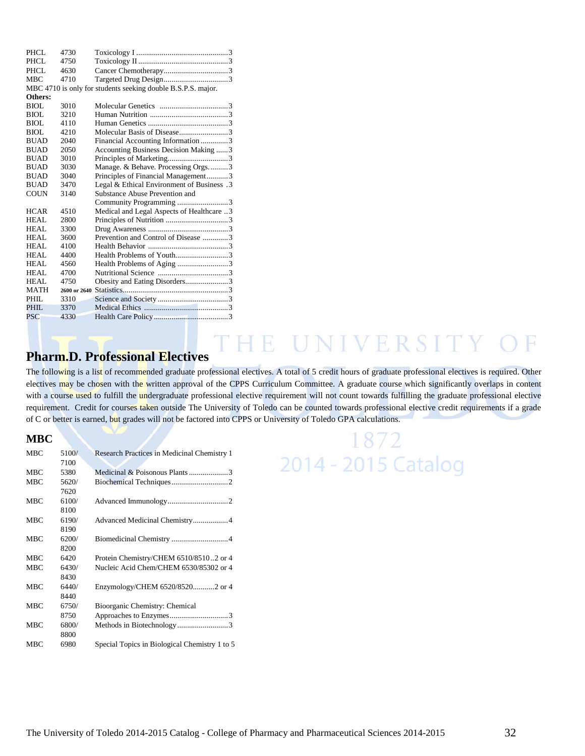| PHCL        | 4730 |                                                              |  |
|-------------|------|--------------------------------------------------------------|--|
| PHCL        | 4750 |                                                              |  |
| PHCL.       | 4630 |                                                              |  |
| <b>MBC</b>  | 4710 |                                                              |  |
|             |      | MBC 4710 is only for students seeking double B.S.P.S. major. |  |
| Others:     |      |                                                              |  |
| BIOL        | 3010 |                                                              |  |
| BIOL        | 3210 |                                                              |  |
| BIOL        | 4110 |                                                              |  |
| BIOL        | 4210 |                                                              |  |
| <b>BUAD</b> | 2040 | Financial Accounting Information 3                           |  |
| <b>BUAD</b> | 2050 | Accounting Business Decision Making 3                        |  |
| <b>BUAD</b> | 3010 |                                                              |  |
| <b>BUAD</b> | 3030 | Manage. & Behave. Processing Orgs3                           |  |
| <b>BUAD</b> | 3040 | Principles of Financial Management3                          |  |
| <b>BUAD</b> | 3470 | Legal & Ethical Environment of Business .3                   |  |
| <b>COUN</b> | 3140 | Substance Abuse Prevention and                               |  |
|             |      | Community Programming 3                                      |  |
| <b>HCAR</b> | 4510 | Medical and Legal Aspects of Healthcare 3                    |  |
| HEAL.       | 2800 |                                                              |  |
| HEAL        | 3300 |                                                              |  |
| HEAL        | 3600 | Prevention and Control of Disease 3                          |  |
| HEAL        | 4100 |                                                              |  |
| HEAL        | 4400 |                                                              |  |
| HEAL.       | 4560 | Health Problems of Aging 3                                   |  |
| HEAL        | 4700 |                                                              |  |
| HEAL        | 4750 | Obesity and Eating Disorders3                                |  |
| <b>MATH</b> |      |                                                              |  |
| PHIL        | 3310 |                                                              |  |
| PHIL.       | 3370 |                                                              |  |
| <b>PSC</b>  | 4330 |                                                              |  |
|             |      |                                                              |  |

## **Pharm.D. Professional Electives**

The following is a list of recommended graduate professional electives. A total of 5 credit hours of graduate professional electives is required. Other electives may be chosen with the written approval of the CPPS Curriculum Committee. A graduate course which significantly overlaps in content with a course used to fulfill the undergraduate professional elective requirement will not count towards fulfilling the graduate professional elective requirement. Credit for courses taken outside The University of Toledo can be counted towards professional elective credit requirements if a grade of C or better is earned, but grades will not be factored into CPPS or University of Toledo GPA calculations.

#### **MBC**

| <b>MBC</b> | 5100/ | Research Practices in Medicinal Chemistry 1   |
|------------|-------|-----------------------------------------------|
|            | 7100  |                                               |
| <b>MBC</b> | 5380  | Medicinal & Poisonous Plants 3                |
| <b>MBC</b> | 5620/ |                                               |
|            | 7620  |                                               |
| <b>MBC</b> | 6100/ |                                               |
|            | 8100  |                                               |
| <b>MBC</b> | 6190/ |                                               |
|            | 8190  |                                               |
| <b>MBC</b> | 6200/ |                                               |
|            | 8200  |                                               |
| <b>MBC</b> | 6420  | Protein Chemistry/CHEM 6510/85102 or 4        |
| MBC        | 6430/ | Nucleic Acid Chem/CHEM 6530/85302 or 4        |
|            | 8430  |                                               |
| <b>MBC</b> | 6440/ | Enzymology/CHEM 6520/85202 or 4               |
|            | 8440  |                                               |
| <b>MBC</b> | 6750/ | Bioorganic Chemistry: Chemical                |
|            | 8750  |                                               |
| <b>MBC</b> | 6800/ | Methods in Biotechnology3                     |
|            | 8800  |                                               |
| MBC        | 6980  | Special Topics in Biological Chemistry 1 to 5 |

# 1872 2014 - 2015 Catalog

THE UNIVERSITY O

 $\mathbb F$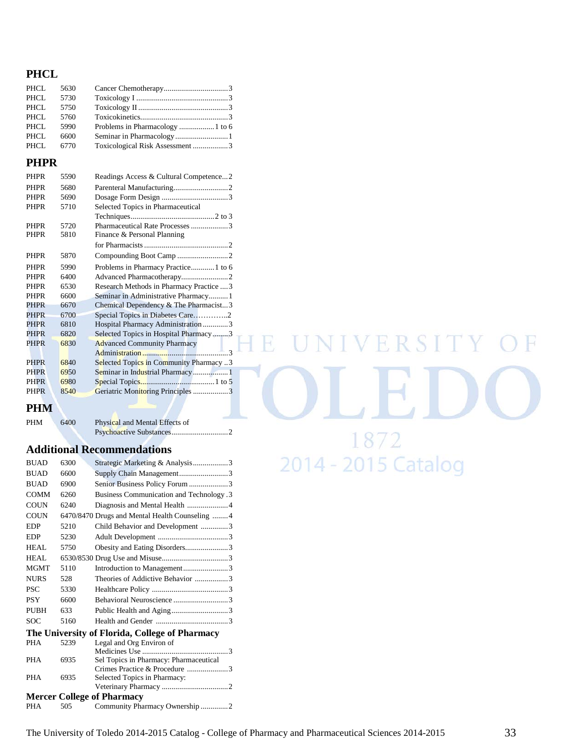## **PHCL**

| PHCL<br>5630                                   |  |
|------------------------------------------------|--|
| PHCL<br>5730                                   |  |
| PHCL<br>5750                                   |  |
| PHCL<br>5760                                   |  |
| PHCL<br>5990                                   |  |
| PHCL<br>6600                                   |  |
| Toxicological Risk Assessment3<br>PHCL<br>6770 |  |

## **PHPR**

| <b>PHPR</b> | 5590 | Readings Access & Cultural Competence2   |
|-------------|------|------------------------------------------|
| <b>PHPR</b> | 5680 |                                          |
| <b>PHPR</b> | 5690 |                                          |
| <b>PHPR</b> | 5710 | Selected Topics in Pharmaceutical        |
|             |      |                                          |
| <b>PHPR</b> | 5720 | Pharmaceutical Rate Processes 3          |
| <b>PHPR</b> | 5810 | Finance & Personal Planning              |
|             |      |                                          |
| <b>PHPR</b> | 5870 |                                          |
| <b>PHPR</b> | 5990 | Problems in Pharmacy Practice1 to 6      |
| <b>PHPR</b> | 6400 |                                          |
| <b>PHPR</b> | 6530 | Research Methods in Pharmacy Practice  3 |
| <b>PHPR</b> | 6600 | Seminar in Administrative Pharmacy1      |
| <b>PHPR</b> | 6670 | Chemical Dependency $&$ The Pharmacist3  |
| <b>PHPR</b> | 6700 | Special Topics in Diabetes Care2         |
| <b>PHPR</b> | 6810 | Hospital Pharmacy Administration 3       |
| <b>PHPR</b> | 6820 | Selected Topics in Hospital Pharmacy3    |
| <b>PHPR</b> | 6830 | <b>Advanced Community Pharmacy</b>       |
|             |      |                                          |
| <b>PHPR</b> | 6840 | Selected Topics in Community Pharmacy3   |
| <b>PHPR</b> | 6950 |                                          |
| <b>PHPR</b> | 6980 |                                          |
| <b>PHPR</b> | 8540 | Geriatric Monitoring Principles 3        |
|             |      |                                          |

## **PHM**

| PHM | 6400 | Physical and Mental Effects of |  |
|-----|------|--------------------------------|--|
|     |      |                                |  |

## **Additional Recommendations**

| <b>BUAD</b> | 6300 | Strategic Marketing & Analysis3                               |
|-------------|------|---------------------------------------------------------------|
| <b>BUAD</b> | 6600 | Supply Chain Management3                                      |
| <b>BUAD</b> | 6900 | Senior Business Policy Forum 3                                |
| <b>COMM</b> | 6260 | <b>Business Communication and Technology.3</b>                |
| <b>COUN</b> | 6240 |                                                               |
| <b>COUN</b> |      | 6470/8470 Drugs and Mental Health Counseling  4               |
| <b>EDP</b>  | 5210 | Child Behavior and Development 3                              |
| <b>EDP</b>  | 5230 |                                                               |
| HEAL.       | 5750 | Obesity and Eating Disorders3                                 |
| HEAL.       |      |                                                               |
| <b>MGMT</b> | 5110 |                                                               |
| <b>NURS</b> | 528  | Theories of Addictive Behavior 3                              |
| <b>PSC</b>  | 5330 |                                                               |
| <b>PSY</b>  | 6600 | Behavioral Neuroscience 3                                     |
| PUBH        | 633  | Public Health and Aging3                                      |
| <b>SOC</b>  | 5160 |                                                               |
|             |      | The University of Florida, College of Pharmacy                |
| <b>PHA</b>  | 5239 | Legal and Org Environ of                                      |
|             |      | $\sqrt{3}$                                                    |
| <b>PHA</b>  | 6935 | Sel Topics in Pharmacy: Pharmaceutical                        |
| <b>PHA</b>  | 6935 | Crimes Practice & Procedure 3<br>Selected Topics in Pharmacy: |
|             |      |                                                               |
|             |      | <b>Mercer College of Pharmacy</b>                             |
| <b>PHA</b>  | 505  | Community Pharmacy Ownership2                                 |
|             |      |                                                               |

E UNIVERSITY F 1872 2014 - 2015 Catalog

 $H$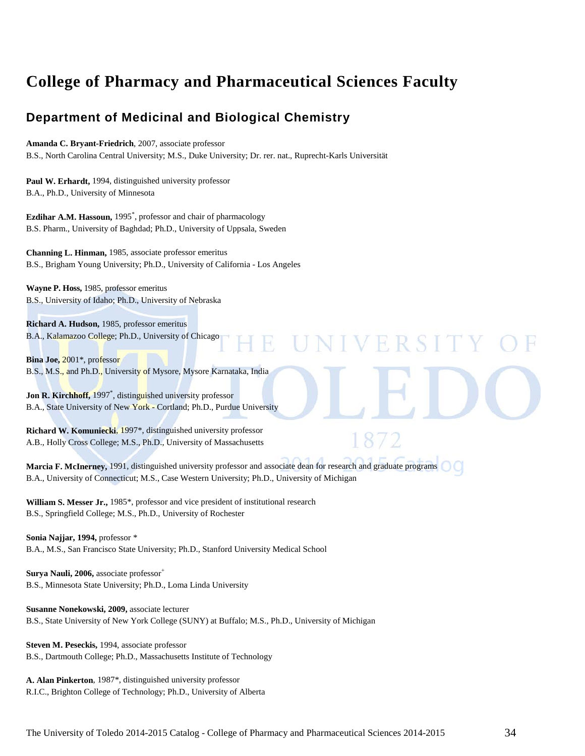# **College of Pharmacy and Pharmaceutical Sciences Faculty**

# **Department of Medicinal and Biological Chemistry**

#### **Amanda C. Bryant-Friedrich**, 2007, associate professor

B.S., North Carolina Central University; M.S., Duke University; Dr. rer. nat., Ruprecht-Karls Universität

**Paul W. Erhardt,** 1994, distinguished university professor B.A., Ph.D., University of Minnesota

**Ezdihar A.M. Hassoun,** 1995\* , professor and chair of pharmacology B.S. Pharm., University of Baghdad; Ph.D., University of Uppsala, Sweden

**Channing L. Hinman,** 1985, associate professor emeritus B.S., Brigham Young University; Ph.D., University of California - Los Angeles

**Wayne P. Hoss,** 1985, professor emeritus B.S., University of Idaho; Ph.D., University of Nebraska

**Richard A. Hudson,** 1985, professor emeritus B.A., Kalamazoo College; Ph.D., University of Chicago

**Bina Joe,** 2001\*, professor B.S., M.S., and Ph.D., University of Mysore, Mysore Karnataka, India

**Jon R. Kirchhoff,** 1997\* , distinguished university professor B.A., State University of New York - Cortland; Ph.D., Purdue University

**Richard W. Komuniecki**, 1997\*, distinguished university professor A.B., Holly Cross College; M.S., Ph.D., University of Massachusetts

**Marcia F. McInerney,** 1991, distinguished university professor and associate dean for research and graduate programs B.A., University of Connecticut; M.S., Case Western University; Ph.D., University of Michigan

R

**IVERSIT** 

**William S. Messer Jr.,** 1985\*, professor and vice president of institutional research B.S., Springfield College; M.S., Ph.D., University of Rochester

**Sonia Najjar, 1994,** professor \* B.A., M.S., San Francisco State University; Ph.D., Stanford University Medical School

**Surya Nauli, 2006, associate professor<sup>+</sup>** B.S., Minnesota State University; Ph.D., Loma Linda University

**Susanne Nonekowski, 2009,** associate lecturer B.S., State University of New York College (SUNY) at Buffalo; M.S., Ph.D., University of Michigan

**Steven M. Peseckis,** 1994, associate professor B.S., Dartmouth College; Ph.D., Massachusetts Institute of Technology

**A. Alan Pinkerton**, 1987\*, distinguished university professor R.I.C., Brighton College of Technology; Ph.D., University of Alberta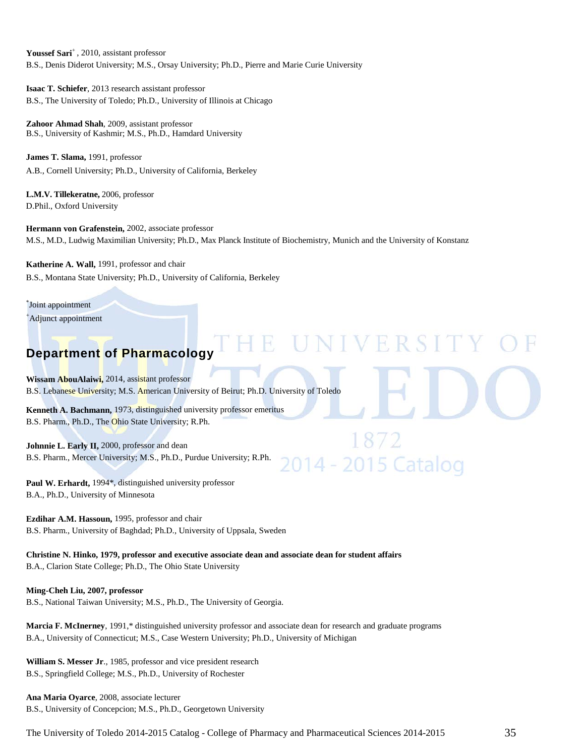Youssef Sari<sup>+</sup>, 2010, assistant professor B.S., Denis Diderot University; M.S., Orsay University; Ph.D., Pierre and Marie Curie University

**Isaac T. Schiefer**, 2013 research assistant professor B.S., The University of Toledo; Ph.D., University of Illinois at Chicago

**Zahoor Ahmad Shah**, 2009, assistant professor B.S., University of Kashmir; M.S., Ph.D., Hamdard University

**James T. Slama,** 1991, professor A.B., Cornell University; Ph.D., University of California, Berkeley

**L.M.V. Tillekeratne,** 2006, professor D.Phil., Oxford University

**Hermann von Grafenstein,** 2002, associate professor M.S., M.D., Ludwig Maximilian University; Ph.D., Max Planck Institute of Biochemistry, Munich and the University of Konstanz

NIVERSIT

14 - 2015 Catalog

**Katherine A. Wall,** 1991, professor and chair B.S., Montana State University; Ph.D., University of California, Berkeley

\* Joint appointment

+ Adjunct appointment

# **Department of Pharmacology**

**Wissam AbouAlaiwi,** 2014, assistant professor B.S. Lebanese University; M.S. American University of Beirut; Ph.D. University of Toledo

**Kenneth A. Bachmann,** 1973, distinguished university professor emeritus B.S. Pharm., Ph.D., The Ohio State University; R.Ph.

**Johnnie L. Early II,** 2000, professor and dean B.S. Pharm., Mercer University; M.S., Ph.D., Purdue University; R.Ph.

Paul W. Erhardt, 1994\*, distinguished university professor B.A., Ph.D., University of Minnesota

**Ezdihar A.M. Hassoun,** 1995, professor and chair B.S. Pharm., University of Baghdad; Ph.D., University of Uppsala, Sweden

**Christine N. Hinko, 1979, professor and executive associate dean and associate dean for student affairs** B.A., Clarion State College; Ph.D., The Ohio State University

#### **Ming-Cheh Liu, 2007, professor**

B.S., National Taiwan University; M.S., Ph.D., The University of Georgia.

**Marcia F. McInerney**, 1991,\* distinguished university professor and associate dean for research and graduate programs B.A., University of Connecticut; M.S., Case Western University; Ph.D., University of Michigan

**William S. Messer Jr**., 1985, professor and vice president research B.S., Springfield College; M.S., Ph.D., University of Rochester

**Ana Maria Oyarce**, 2008, associate lecturer B.S., University of Concepcion; M.S., Ph.D., Georgetown University

The University of Toledo 2014-2015 Catalog - College of Pharmacy and Pharmaceutical Sciences 2014-2015 35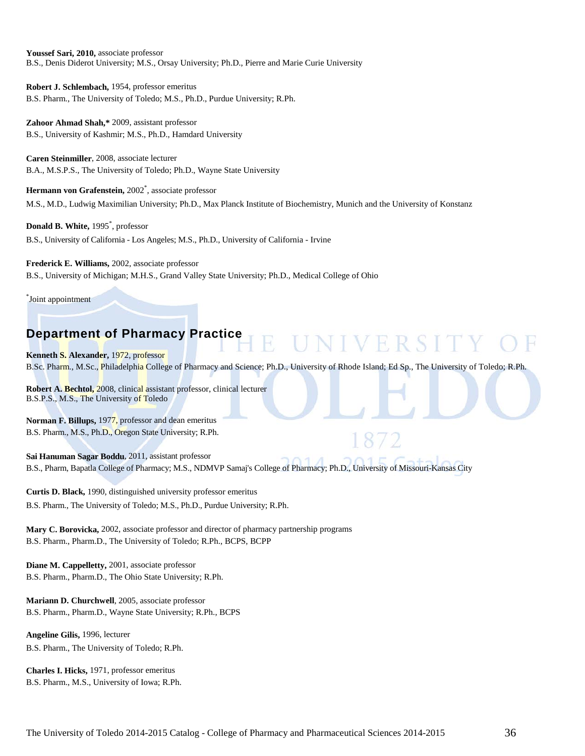**Youssef Sari, 2010,** associate professor B.S., Denis Diderot University; M.S., Orsay University; Ph.D., Pierre and Marie Curie University

**Robert J. Schlembach,** 1954, professor emeritus B.S. Pharm., The University of Toledo; M.S., Ph.D., Purdue University; R.Ph.

**Zahoor Ahmad Shah,\*** 2009, assistant professor B.S., University of Kashmir; M.S., Ph.D., Hamdard University

**Caren Steinmiller**, 2008, associate lecturer B.A., M.S.P.S., The University of Toledo; Ph.D., Wayne State University

Hermann von Grafenstein, 2002<sup>\*</sup>, associate professor M.S., M.D., Ludwig Maximilian University; Ph.D., Max Planck Institute of Biochemistry, Munich and the University of Konstanz

**Donald B. White,** 1995\* , professor B.S., University of California - Los Angeles; M.S., Ph.D., University of California - Irvine

**Frederick E. Williams,** 2002, associate professor B.S., University of Michigan; M.H.S., Grand Valley State University; Ph.D., Medical College of Ohio

\* Joint appointment

# **Department of Pharmacy Practice**

**Kenneth S. Alexander,** 1972, professor B.Sc. Pharm., M.Sc., Philadelphia College of Pharmacy and Science; Ph.D., University of Rhode Island; Ed Sp., The University of Toledo; R.Ph.

UNIVERSITY

**Robert A. Bechtol,** 2008, clinical assistant professor, clinical lecturer B.S.P.S., M.S., The University of Toledo

**Norman F. Billups,** 1977, professor and dean emeritus B.S. Pharm., M.S., Ph.D., Oregon State University; R.Ph.

**Sai Hanuman Sagar Boddu**, 2011, assistant professor B.S., Pharm, Bapatla College of Pharmacy; M.S., NDMVP Samaj's College of Pharmacy; Ph.D., University of Missouri-Kansas City

**Curtis D. Black,** 1990, distinguished university professor emeritus B.S. Pharm., The University of Toledo; M.S., Ph.D., Purdue University; R.Ph.

**Mary C. Borovicka,** 2002, associate professor and director of pharmacy partnership programs B.S. Pharm., Pharm.D., The University of Toledo; R.Ph., BCPS, BCPP

**Diane M. Cappelletty,** 2001, associate professor B.S. Pharm., Pharm.D., The Ohio State University; R.Ph.

**Mariann D. Churchwell**, 2005, associate professor B.S. Pharm., Pharm.D., Wayne State University; R.Ph., BCPS

**Angeline Gilis,** 1996, lecturer B.S. Pharm., The University of Toledo; R.Ph.

**Charles I. Hicks,** 1971, professor emeritus B.S. Pharm., M.S., University of Iowa; R.Ph.